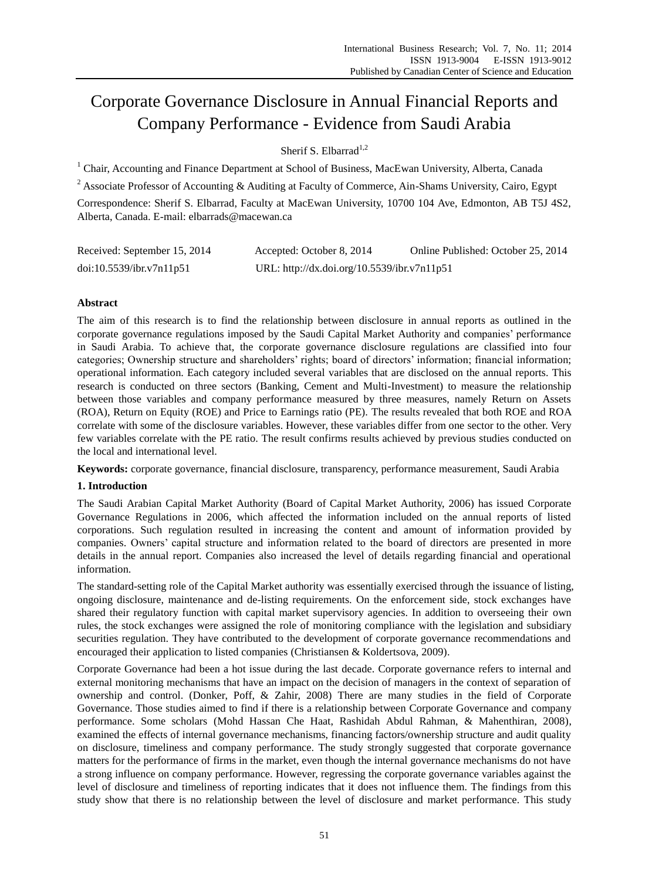# Corporate Governance Disclosure in Annual Financial Reports and Company Performance - Evidence from Saudi Arabia

Sherif S. Elbarrad<sup>1,2</sup>

<sup>1</sup> Chair. Accounting and Finance Department at School of Business, MacEwan University, Alberta, Canada

<sup>2</sup> Associate Professor of Accounting & Auditing at Faculty of Commerce, Ain-Shams University, Cairo, Egypt

Correspondence: Sherif S. Elbarrad, Faculty at MacEwan University, 10700 104 Ave, Edmonton, AB T5J 4S2, Alberta, Canada. E-mail: elbarrads@macewan.ca

| Received: September 15, 2014 | Accepted: October 8, 2014                   | Online Published: October 25, 2014 |
|------------------------------|---------------------------------------------|------------------------------------|
| doi:10.5539/ibr.v7n11p51     | URL: http://dx.doi.org/10.5539/ibr.v7n11p51 |                                    |

# **Abstract**

The aim of this research is to find the relationship between disclosure in annual reports as outlined in the corporate governance regulations imposed by the Saudi Capital Market Authority and companies' performance in Saudi Arabia. To achieve that, the corporate governance disclosure regulations are classified into four categories; Ownership structure and shareholders' rights; board of directors' information; financial information; operational information. Each category included several variables that are disclosed on the annual reports. This research is conducted on three sectors (Banking, Cement and Multi-Investment) to measure the relationship between those variables and company performance measured by three measures, namely Return on Assets (ROA), Return on Equity (ROE) and Price to Earnings ratio (PE). The results revealed that both ROE and ROA correlate with some of the disclosure variables. However, these variables differ from one sector to the other. Very few variables correlate with the PE ratio. The result confirms results achieved by previous studies conducted on the local and international level.

**Keywords:** corporate governance, financial disclosure, transparency, performance measurement, Saudi Arabia

## **1. Introduction**

The Saudi Arabian Capital Market Authority (Board of Capital Market Authority, 2006) has issued Corporate Governance Regulations in 2006, which affected the information included on the annual reports of listed corporations. Such regulation resulted in increasing the content and amount of information provided by companies. Owners' capital structure and information related to the board of directors are presented in more details in the annual report. Companies also increased the level of details regarding financial and operational information.

The standard-setting role of the Capital Market authority was essentially exercised through the issuance of listing, ongoing disclosure, maintenance and de-listing requirements. On the enforcement side, stock exchanges have shared their regulatory function with capital market supervisory agencies. In addition to overseeing their own rules, the stock exchanges were assigned the role of monitoring compliance with the legislation and subsidiary securities regulation. They have contributed to the development of corporate governance recommendations and encouraged their application to listed companies (Christiansen & Koldertsova, 2009).

Corporate Governance had been a hot issue during the last decade. Corporate governance refers to internal and external monitoring mechanisms that have an impact on the decision of managers in the context of separation of ownership and control. (Donker, Poff, & Zahir, 2008) There are many studies in the field of Corporate Governance. Those studies aimed to find if there is a relationship between Corporate Governance and company performance. Some scholars (Mohd Hassan Che Haat, Rashidah Abdul Rahman, & Mahenthiran, 2008), examined the effects of internal governance mechanisms, financing factors/ownership structure and audit quality on disclosure, timeliness and company performance. The study strongly suggested that corporate governance matters for the performance of firms in the market, even though the internal governance mechanisms do not have a strong influence on company performance. However, regressing the corporate governance variables against the level of disclosure and timeliness of reporting indicates that it does not influence them. The findings from this study show that there is no relationship between the level of disclosure and market performance. This study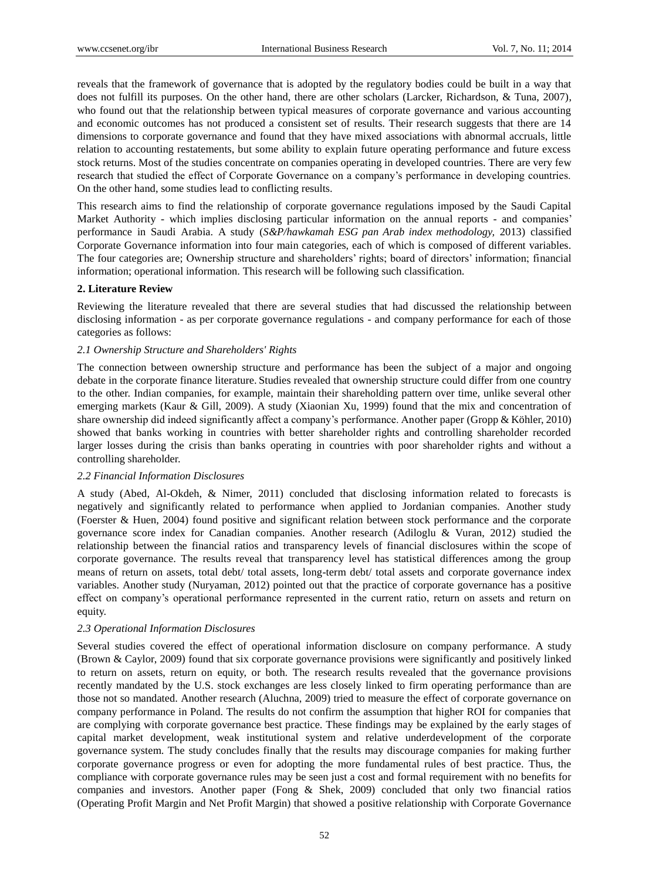reveals that the framework of governance that is adopted by the regulatory bodies could be built in a way that does not fulfill its purposes. On the other hand, there are other scholars (Larcker, Richardson, & Tuna, 2007), who found out that the relationship between typical measures of corporate governance and various accounting and economic outcomes has not produced a consistent set of results. Their research suggests that there are 14 dimensions to corporate governance and found that they have mixed associations with abnormal accruals, little relation to accounting restatements, but some ability to explain future operating performance and future excess stock returns. Most of the studies concentrate on companies operating in developed countries. There are very few research that studied the effect of Corporate Governance on a company's performance in developing countries. On the other hand, some studies lead to conflicting results.

This research aims to find the relationship of corporate governance regulations imposed by the Saudi Capital Market Authority - which implies disclosing particular information on the annual reports - and companies' performance in Saudi Arabia. A study (*S&P/hawkamah ESG pan Arab index methodology,* 2013) classified Corporate Governance information into four main categories, each of which is composed of different variables. The four categories are; Ownership structure and shareholders' rights; board of directors' information; financial information; operational information. This research will be following such classification.

#### **2. Literature Review**

Reviewing the literature revealed that there are several studies that had discussed the relationship between disclosing information - as per corporate governance regulations - and company performance for each of those categories as follows:

## *2.1 Ownership Structure and Shareholders' Rights*

The connection between ownership structure and performance has been the subject of a major and ongoing debate in the corporate finance literature. Studies revealed that ownership structure could differ from one country to the other. Indian companies, for example, maintain their shareholding pattern over time, unlike several other emerging markets (Kaur & Gill, 2009). A study (Xiaonian Xu, 1999) found that the mix and concentration of share ownership did indeed significantly affect a company's performance. Another paper (Gropp & Köhler, 2010) showed that banks working in countries with better shareholder rights and controlling shareholder recorded larger losses during the crisis than banks operating in countries with poor shareholder rights and without a controlling shareholder.

## *2.2 Financial Information Disclosures*

A study (Abed, Al-Okdeh, & Nimer, 2011) concluded that disclosing information related to forecasts is negatively and significantly related to performance when applied to Jordanian companies. Another study (Foerster & Huen, 2004) found positive and significant relation between stock performance and the corporate governance score index for Canadian companies. Another research (Adiloglu & Vuran, 2012) studied the relationship between the financial ratios and transparency levels of financial disclosures within the scope of corporate governance. The results reveal that transparency level has statistical differences among the group means of return on assets, total debt/ total assets, long-term debt/ total assets and corporate governance index variables. Another study (Nuryaman, 2012) pointed out that the practice of corporate governance has a positive effect on company's operational performance represented in the current ratio, return on assets and return on equity.

#### *2.3 Operational Information Disclosures*

Several studies covered the effect of operational information disclosure on company performance. A study (Brown & Caylor, 2009) found that six corporate governance provisions were significantly and positively linked to return on assets, return on equity, or both. The research results revealed that the governance provisions recently mandated by the U.S. stock exchanges are less closely linked to firm operating performance than are those not so mandated. Another research (Aluchna, 2009) tried to measure the effect of corporate governance on company performance in Poland. The results do not confirm the assumption that higher ROI for companies that are complying with corporate governance best practice. These findings may be explained by the early stages of capital market development, weak institutional system and relative underdevelopment of the corporate governance system. The study concludes finally that the results may discourage companies for making further corporate governance progress or even for adopting the more fundamental rules of best practice. Thus, the compliance with corporate governance rules may be seen just a cost and formal requirement with no benefits for companies and investors. Another paper (Fong & Shek, 2009) concluded that only two financial ratios (Operating Profit Margin and Net Profit Margin) that showed a positive relationship with Corporate Governance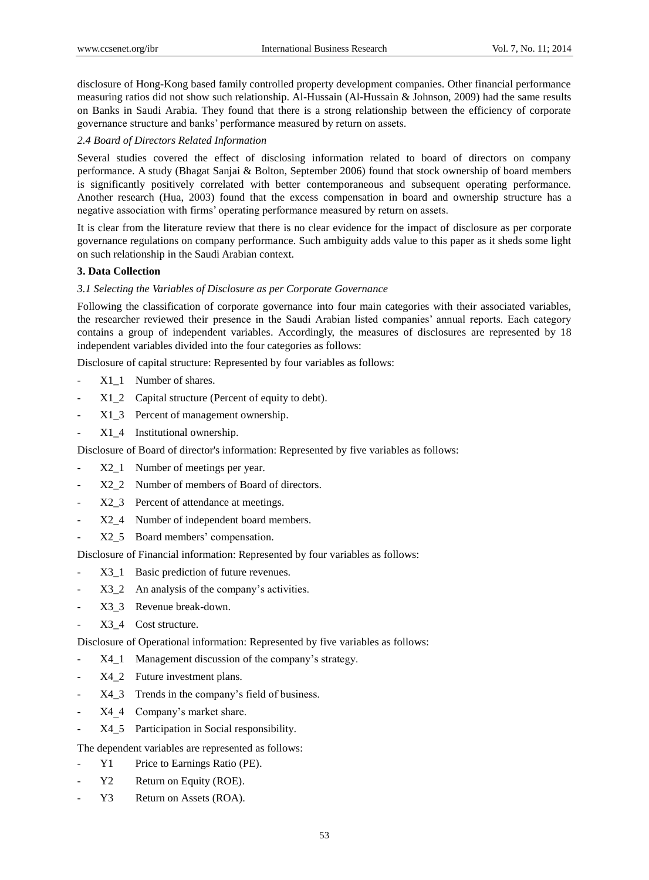disclosure of Hong-Kong based family controlled property development companies. Other financial performance measuring ratios did not show such relationship. Al-Hussain (Al-Hussain & Johnson, 2009) had the same results on Banks in Saudi Arabia. They found that there is a strong relationship between the efficiency of corporate governance structure and banks' performance measured by return on assets.

## *2.4 Board of Directors Related Information*

Several studies covered the effect of disclosing information related to board of directors on company performance. A study (Bhagat Sanjai & Bolton, September 2006) found that stock ownership of board members is significantly positively correlated with better contemporaneous and subsequent operating performance. Another research (Hua, 2003) found that the excess compensation in board and ownership structure has a negative association with firms' operating performance measured by return on assets.

It is clear from the literature review that there is no clear evidence for the impact of disclosure as per corporate governance regulations on company performance. Such ambiguity adds value to this paper as it sheds some light on such relationship in the Saudi Arabian context.

## **3. Data Collection**

# *3.1 Selecting the Variables of Disclosure as per Corporate Governance*

Following the classification of corporate governance into four main categories with their associated variables, the researcher reviewed their presence in the Saudi Arabian listed companies' annual reports. Each category contains a group of independent variables. Accordingly, the measures of disclosures are represented by 18 independent variables divided into the four categories as follows:

Disclosure of capital structure: Represented by four variables as follows:

- X1\_1 Number of shares.
- X1\_2 Capital structure (Percent of equity to debt).
- X1\_3 Percent of management ownership.
- X1\_4 Institutional ownership.

Disclosure of Board of director's information: Represented by five variables as follows:

- X2\_1 Number of meetings per year.
- X2\_2 Number of members of Board of directors.
- X2\_3 Percent of attendance at meetings.
- X2 4 Number of independent board members.
- X2\_5 Board members' compensation.

Disclosure of Financial information: Represented by four variables as follows:

- X3 1 Basic prediction of future revenues.
- X3 2 An analysis of the company's activities.
- X3\_3 Revenue break-down.
- X3\_4 Cost structure.

Disclosure of Operational information: Represented by five variables as follows:

- X4\_1 Management discussion of the company's strategy.
- X4\_2 Future investment plans.
- X4\_3 Trends in the company's field of business.
- X4 4 Company's market share.
- X4\_5 Participation in Social responsibility.

The dependent variables are represented as follows:

- Y1 Price to Earnings Ratio (PE).
- Y2 Return on Equity (ROE).
- Y3 Return on Assets (ROA).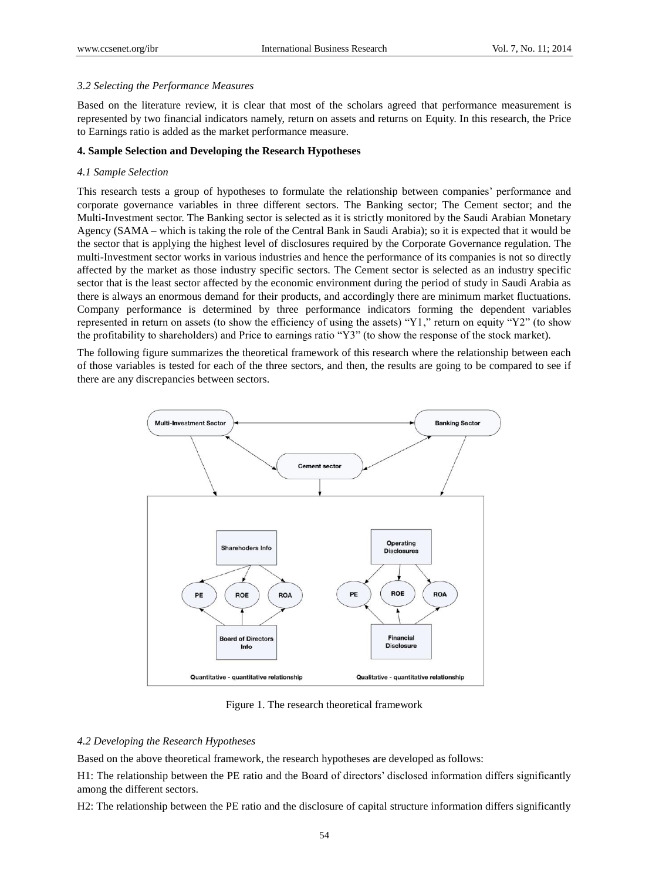#### *3.2 Selecting the Performance Measures*

Based on the literature review, it is clear that most of the scholars agreed that performance measurement is represented by two financial indicators namely, return on assets and returns on Equity. In this research, the Price to Earnings ratio is added as the market performance measure.

## **4. Sample Selection and Developing the Research Hypotheses**

#### *4.1 Sample Selection*

This research tests a group of hypotheses to formulate the relationship between companies' performance and corporate governance variables in three different sectors. The Banking sector; The Cement sector; and the Multi-Investment sector. The Banking sector is selected as it is strictly monitored by the Saudi Arabian Monetary Agency (SAMA – which is taking the role of the Central Bank in Saudi Arabia); so it is expected that it would be the sector that is applying the highest level of disclosures required by the Corporate Governance regulation. The multi-Investment sector works in various industries and hence the performance of its companies is not so directly affected by the market as those industry specific sectors. The Cement sector is selected as an industry specific sector that is the least sector affected by the economic environment during the period of study in Saudi Arabia as there is always an enormous demand for their products, and accordingly there are minimum market fluctuations. Company performance is determined by three performance indicators forming the dependent variables represented in return on assets (to show the efficiency of using the assets) "Y1," return on equity "Y2" (to show the profitability to shareholders) and Price to earnings ratio "Y3" (to show the response of the stock market).

The following figure summarizes the theoretical framework of this research where the relationship between each of those variables is tested for each of the three sectors, and then, the results are going to be compared to see if there are any discrepancies between sectors.



Figure 1. The research theoretical framework

## *4.2 Developing the Research Hypotheses*

Based on the above theoretical framework, the research hypotheses are developed as follows:

H1: The relationship between the PE ratio and the Board of directors' disclosed information differs significantly among the different sectors.

H2: The relationship between the PE ratio and the disclosure of capital structure information differs significantly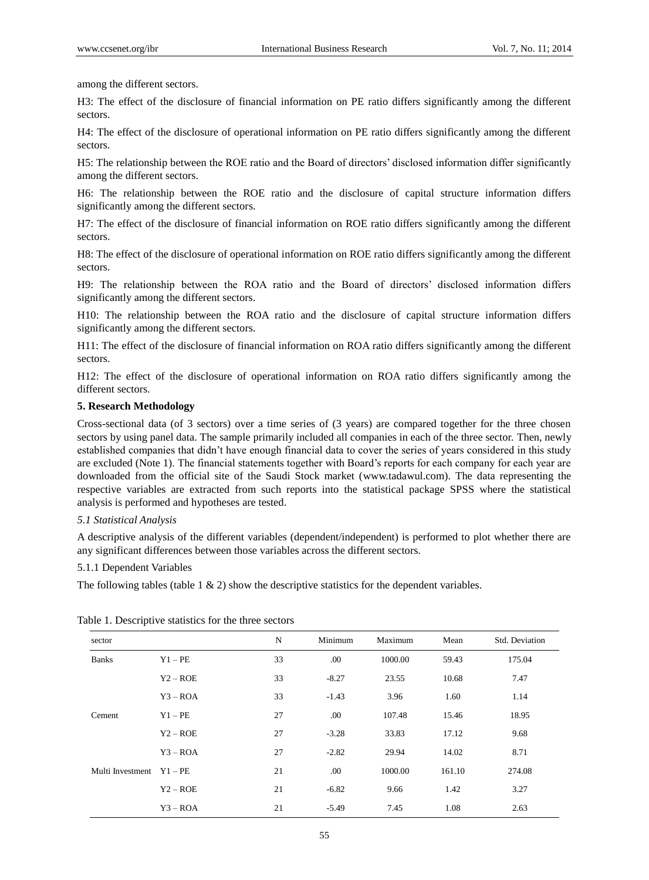among the different sectors.

H3: The effect of the disclosure of financial information on PE ratio differs significantly among the different sectors.

H4: The effect of the disclosure of operational information on PE ratio differs significantly among the different sectors.

H5: The relationship between the ROE ratio and the Board of directors' disclosed information differ significantly among the different sectors.

H6: The relationship between the ROE ratio and the disclosure of capital structure information differs significantly among the different sectors.

H7: The effect of the disclosure of financial information on ROE ratio differs significantly among the different sectors.

H8: The effect of the disclosure of operational information on ROE ratio differs significantly among the different sectors.

H9: The relationship between the ROA ratio and the Board of directors' disclosed information differs significantly among the different sectors.

H10: The relationship between the ROA ratio and the disclosure of capital structure information differs significantly among the different sectors.

H11: The effect of the disclosure of financial information on ROA ratio differs significantly among the different sectors.

H12: The effect of the disclosure of operational information on ROA ratio differs significantly among the different sectors.

## **5. Research Methodology**

Cross-sectional data (of 3 sectors) over a time series of (3 years) are compared together for the three chosen sectors by using panel data. The sample primarily included all companies in each of the three sector. Then, newly established companies that didn't have enough financial data to cover the series of years considered in this study are excluded (Note 1). The financial statements together with Board's reports for each company for each year are downloaded from the official site of the Saudi Stock market (www.tadawul.com). The data representing the respective variables are extracted from such reports into the statistical package SPSS where the statistical analysis is performed and hypotheses are tested.

## *5.1 Statistical Analysis*

A descriptive analysis of the different variables (dependent/independent) is performed to plot whether there are any significant differences between those variables across the different sectors.

## 5.1.1 Dependent Variables

The following tables (table  $1 \& 2$ ) show the descriptive statistics for the dependent variables.

| sector           |            | N  | Minimum | Maximum | Mean   | Std. Deviation |
|------------------|------------|----|---------|---------|--------|----------------|
| <b>Banks</b>     | $Y1 - PE$  | 33 | .00     | 1000.00 | 59.43  | 175.04         |
|                  | $Y2 - ROE$ | 33 | $-8.27$ | 23.55   | 10.68  | 7.47           |
|                  | $Y3 - ROA$ | 33 | $-1.43$ | 3.96    | 1.60   | 1.14           |
| Cement           | $Y1 - PE$  | 27 | .00     | 107.48  | 15.46  | 18.95          |
|                  | $Y2 - ROE$ | 27 | $-3.28$ | 33.83   | 17.12  | 9.68           |
|                  | $Y3 - ROA$ | 27 | $-2.82$ | 29.94   | 14.02  | 8.71           |
| Multi Investment | $Y1 - PE$  | 21 | .00     | 1000.00 | 161.10 | 274.08         |
|                  | $Y2 - ROE$ | 21 | $-6.82$ | 9.66    | 1.42   | 3.27           |
|                  | $Y3 - ROA$ | 21 | $-5.49$ | 7.45    | 1.08   | 2.63           |

Table 1. Descriptive statistics for the three sectors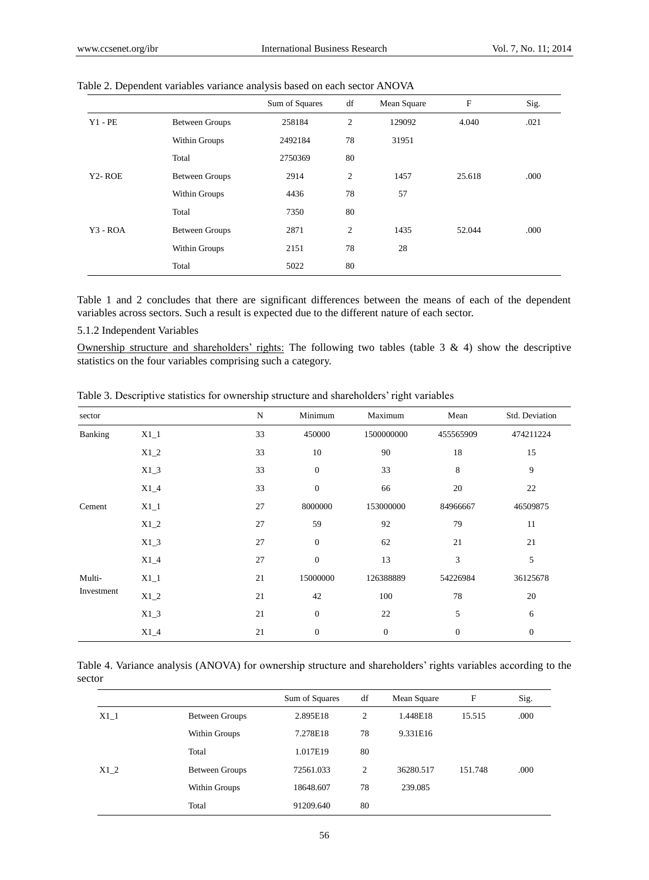|                     |                       | Sum of Squares | df | Mean Square | $\mathbf F$ | Sig. |
|---------------------|-----------------------|----------------|----|-------------|-------------|------|
| $Y1 - PE$           | <b>Between Groups</b> | 258184         | 2  | 129092      | 4.040       | .021 |
|                     | Within Groups         | 2492184        | 78 | 31951       |             |      |
|                     | Total                 | 2750369        | 80 |             |             |      |
| Y <sub>2</sub> -ROE | <b>Between Groups</b> | 2914           | 2  | 1457        | 25.618      | .000 |
|                     | Within Groups         | 4436           | 78 | 57          |             |      |
|                     | Total                 | 7350           | 80 |             |             |      |
| $Y3 - ROA$          | <b>Between Groups</b> | 2871           | 2  | 1435        | 52.044      | .000 |
|                     | Within Groups         | 2151           | 78 | 28          |             |      |
|                     | Total                 | 5022           | 80 |             |             |      |

Table 2. Dependent variables variance analysis based on each sector ANOVA

Table 1 and 2 concludes that there are significant differences between the means of each of the dependent variables across sectors. Such a result is expected due to the different nature of each sector.

5.1.2 Independent Variables

Ownership structure and shareholders' rights: The following two tables (table  $3 \& 4$ ) show the descriptive statistics on the four variables comprising such a category.

| sector     |        | $\mathbf N$ | Minimum          | Maximum      | Mean             | Std. Deviation |
|------------|--------|-------------|------------------|--------------|------------------|----------------|
| Banking    | $X1_1$ | 33          | 450000           | 1500000000   | 455565909        | 474211224      |
|            | $X1_2$ | 33          | 10               | 90           | 18               | 15             |
|            | $X1_3$ | 33          | $\mathbf{0}$     | 33           | 8                | 9              |
|            | $X1_4$ | 33          | $\boldsymbol{0}$ | 66           | 20               | 22             |
| Cement     | $X1_1$ | 27          | 8000000          | 153000000    | 84966667         | 46509875       |
|            | $X1_2$ | 27          | 59               | 92           | 79               | 11             |
|            | $X1_3$ | 27          | $\boldsymbol{0}$ | 62           | 21               | 21             |
|            | $X1_4$ | 27          | $\boldsymbol{0}$ | 13           | 3                | 5              |
| Multi-     | $X1_1$ | 21          | 15000000         | 126388889    | 54226984         | 36125678       |
| Investment | $X1_2$ | 21          | 42               | 100          | 78               | 20             |
|            | $X1_3$ | 21          | $\mathbf{0}$     | 22           | 5                | 6              |
|            | $X1_4$ | 21          | $\mathbf{0}$     | $\mathbf{0}$ | $\boldsymbol{0}$ | $\mathbf{0}$   |

Table 3. Descriptive statistics for ownership structure and shareholders' right variables

Table 4. Variance analysis (ANOVA) for ownership structure and shareholders' rights variables according to the sector

|        |                       | Sum of Squares | df             | Mean Square | F       | Sig. |
|--------|-----------------------|----------------|----------------|-------------|---------|------|
| $X1_1$ | <b>Between Groups</b> | 2.895E18       | $\overline{2}$ | 1.448E18    | 15.515  | .000 |
|        | Within Groups         | 7.278E18       | 78             | 9.331E16    |         |      |
|        | Total                 | 1.017E19       | 80             |             |         |      |
| X1 2   | <b>Between Groups</b> | 72561.033      | $\overline{c}$ | 36280.517   | 151.748 | .000 |
|        | Within Groups         | 18648.607      | 78             | 239.085     |         |      |
|        | Total                 | 91209.640      | 80             |             |         |      |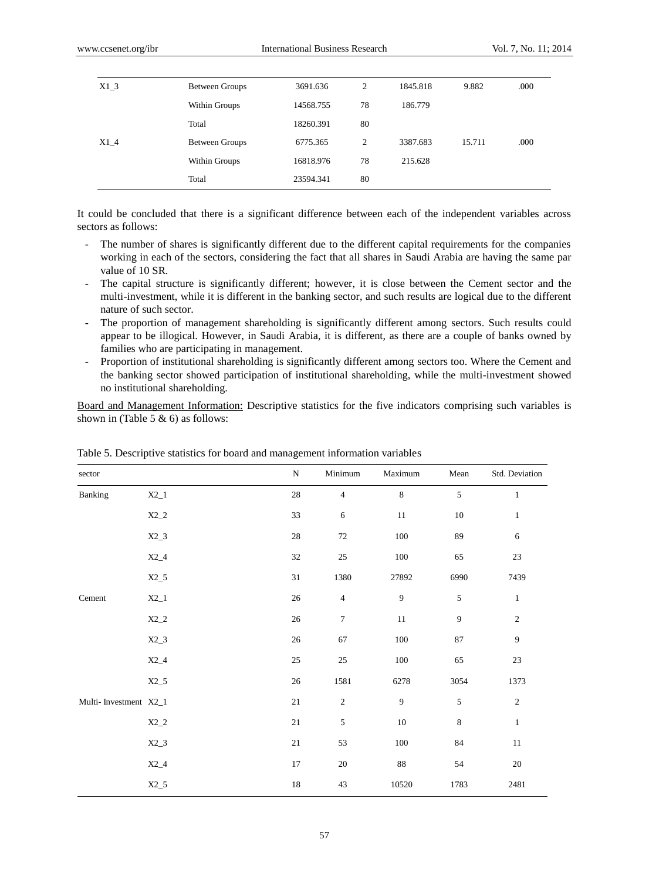| $X1_3$ | Between Groups        | 3691.636  | 2  | 1845.818 | 9.882  | .000 |
|--------|-----------------------|-----------|----|----------|--------|------|
|        | Within Groups         | 14568.755 | 78 | 186.779  |        |      |
|        | Total                 | 18260.391 | 80 |          |        |      |
| $X1_4$ | <b>Between Groups</b> | 6775.365  | 2  | 3387.683 | 15.711 | .000 |
|        | Within Groups         | 16818.976 | 78 | 215.628  |        |      |
|        | Total                 | 23594.341 | 80 |          |        |      |

It could be concluded that there is a significant difference between each of the independent variables across sectors as follows:

- The number of shares is significantly different due to the different capital requirements for the companies working in each of the sectors, considering the fact that all shares in Saudi Arabia are having the same par value of 10 SR.
- The capital structure is significantly different; however, it is close between the Cement sector and the multi-investment, while it is different in the banking sector, and such results are logical due to the different nature of such sector.
- The proportion of management shareholding is significantly different among sectors. Such results could appear to be illogical. However, in Saudi Arabia, it is different, as there are a couple of banks owned by families who are participating in management.
- Proportion of institutional shareholding is significantly different among sectors too. Where the Cement and the banking sector showed participation of institutional shareholding, while the multi-investment showed no institutional shareholding.

Board and Management Information: Descriptive statistics for the five indicators comprising such variables is shown in (Table 5  $\&$  6) as follows:

| sector                |         | ${\bf N}$ | Minimum          | Maximum        | Mean        | Std. Deviation |
|-----------------------|---------|-----------|------------------|----------------|-------------|----------------|
| Banking               | $X2_1$  | $28\,$    | $\overline{4}$   | $\,8\,$        | 5           | $\mathbf{1}$   |
|                       | $X2_2$  | 33        | $\sqrt{6}$       | 11             | 10          | $\mathbf{1}$   |
|                       | $X2_3$  | $28\,$    | $72\,$           | $100\,$        | $\bf 89$    | 6              |
|                       | $X2_4$  | 32        | $25\,$           | $100\,$        | 65          | $23\,$         |
|                       | $X2_5$  | $31\,$    | 1380             | 27892          | 6990        | 7439           |
| $\mbox{Cement}$       | $X2_1$  | $26\,$    | $\sqrt{4}$       | $\overline{9}$ | 5           | $\mathbf{1}$   |
|                       | $X2\_2$ | $26\,$    | $\boldsymbol{7}$ | $11\,$         | 9           | $\sqrt{2}$     |
|                       | $X2_3$  | 26        | 67               | $100\,$        | $87\,$      | 9              |
|                       | $X2_4$  | $25\,$    | $25\,$           | 100            | 65          | 23             |
|                       | $X2_5$  | 26        | 1581             | 6278           | 3054        | 1373           |
| Multi-Investment X2_1 |         | $21\,$    | $\sqrt{2}$       | 9              | 5           | $\sqrt{2}$     |
|                       | $X2_2$  | $21\,$    | $\sqrt{5}$       | $10\,$         | $\,$ 8 $\,$ | $\mathbf{1}$   |
|                       | $X2_3$  | $21\,$    | 53               | 100            | $\bf 84$    | 11             |
|                       | $X2_4$  | 17        | $20\,$           | $\bf 88$       | 54          | 20             |
|                       | $X2_5$  | $18\,$    | 43               | 10520          | 1783        | 2481           |

Table 5. Descriptive statistics for board and management information variables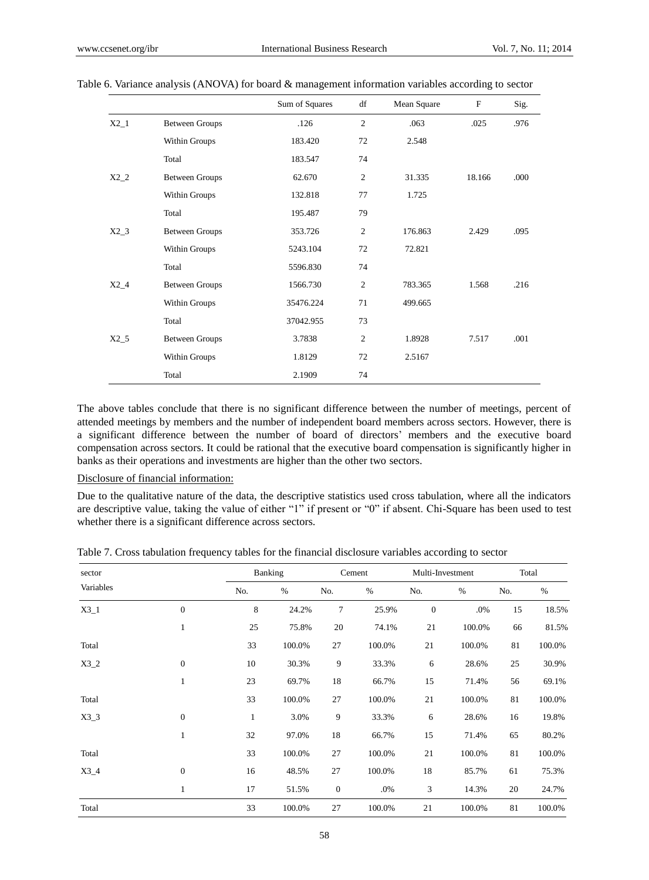|        |                       | Sum of Squares | df             | Mean Square | $\mathbf{F}$ | Sig. |
|--------|-----------------------|----------------|----------------|-------------|--------------|------|
| $X2_1$ | <b>Between Groups</b> | .126           | $\overline{2}$ | .063        | .025         | .976 |
|        | Within Groups         | 183.420        | 72             | 2.548       |              |      |
|        | Total                 | 183.547        | 74             |             |              |      |
| $X2_2$ | <b>Between Groups</b> | 62.670         | $\mathfrak{2}$ | 31.335      | 18.166       | .000 |
|        | Within Groups         | 132.818        | 77             | 1.725       |              |      |
|        | Total                 | 195.487        | 79             |             |              |      |
| $X2_3$ | <b>Between Groups</b> | 353.726        | $\mathfrak{2}$ | 176.863     | 2.429        | .095 |
|        | Within Groups         | 5243.104       | 72             | 72.821      |              |      |
|        | Total                 | 5596.830       | 74             |             |              |      |
| $X2_4$ | <b>Between Groups</b> | 1566.730       | $\overline{2}$ | 783.365     | 1.568        | .216 |
|        | Within Groups         | 35476.224      | 71             | 499.665     |              |      |
|        | Total                 | 37042.955      | 73             |             |              |      |
| $X2_5$ | <b>Between Groups</b> | 3.7838         | $\mathfrak{2}$ | 1.8928      | 7.517        | .001 |
|        | Within Groups         | 1.8129         | 72             | 2.5167      |              |      |
|        | Total                 | 2.1909         | 74             |             |              |      |

| Table 6. Variance analysis (ANOVA) for board & management information variables according to sector |  |  |  |  |
|-----------------------------------------------------------------------------------------------------|--|--|--|--|
|                                                                                                     |  |  |  |  |

The above tables conclude that there is no significant difference between the number of meetings, percent of attended meetings by members and the number of independent board members across sectors. However, there is a significant difference between the number of board of directors' members and the executive board compensation across sectors. It could be rational that the executive board compensation is significantly higher in banks as their operations and investments are higher than the other two sectors.

# Disclosure of financial information:

Due to the qualitative nature of the data, the descriptive statistics used cross tabulation, where all the indicators are descriptive value, taking the value of either "1" if present or "0" if absent. Chi-Square has been used to test whether there is a significant difference across sectors.

| Table 7. Cross tabulation frequency tables for the financial disclosure variables according to sector |
|-------------------------------------------------------------------------------------------------------|
|-------------------------------------------------------------------------------------------------------|

| sector    |                  |              | Banking |                  | Cement | Multi-Investment |        | Total |        |
|-----------|------------------|--------------|---------|------------------|--------|------------------|--------|-------|--------|
| Variables |                  | No.          | $\%$    | No.              | $\%$   | No.              | $\%$   | No.   | $\%$   |
| $X3_1$    | $\overline{0}$   | 8            | 24.2%   | 7                | 25.9%  | $\boldsymbol{0}$ | .0%    | 15    | 18.5%  |
|           | $\mathbf{1}$     | 25           | 75.8%   | 20               | 74.1%  | 21               | 100.0% | 66    | 81.5%  |
| Total     |                  | 33           | 100.0%  | 27               | 100.0% | 21               | 100.0% | 81    | 100.0% |
| $X3_2$    | $\boldsymbol{0}$ | 10           | 30.3%   | 9                | 33.3%  | 6                | 28.6%  | 25    | 30.9%  |
|           | 1                | 23           | 69.7%   | 18               | 66.7%  | 15               | 71.4%  | 56    | 69.1%  |
| Total     |                  | 33           | 100.0%  | 27               | 100.0% | 21               | 100.0% | 81    | 100.0% |
| $X3_3$    | $\mathbf{0}$     | $\mathbf{1}$ | 3.0%    | 9                | 33.3%  | 6                | 28.6%  | 16    | 19.8%  |
|           | $\mathbf{1}$     | 32           | 97.0%   | 18               | 66.7%  | 15               | 71.4%  | 65    | 80.2%  |
| Total     |                  | 33           | 100.0%  | 27               | 100.0% | 21               | 100.0% | 81    | 100.0% |
| $X3_4$    | $\boldsymbol{0}$ | 16           | 48.5%   | 27               | 100.0% | 18               | 85.7%  | 61    | 75.3%  |
|           | 1                | 17           | 51.5%   | $\boldsymbol{0}$ | $.0\%$ | $\mathfrak{Z}$   | 14.3%  | 20    | 24.7%  |
| Total     |                  | 33           | 100.0%  | 27               | 100.0% | 21               | 100.0% | 81    | 100.0% |

58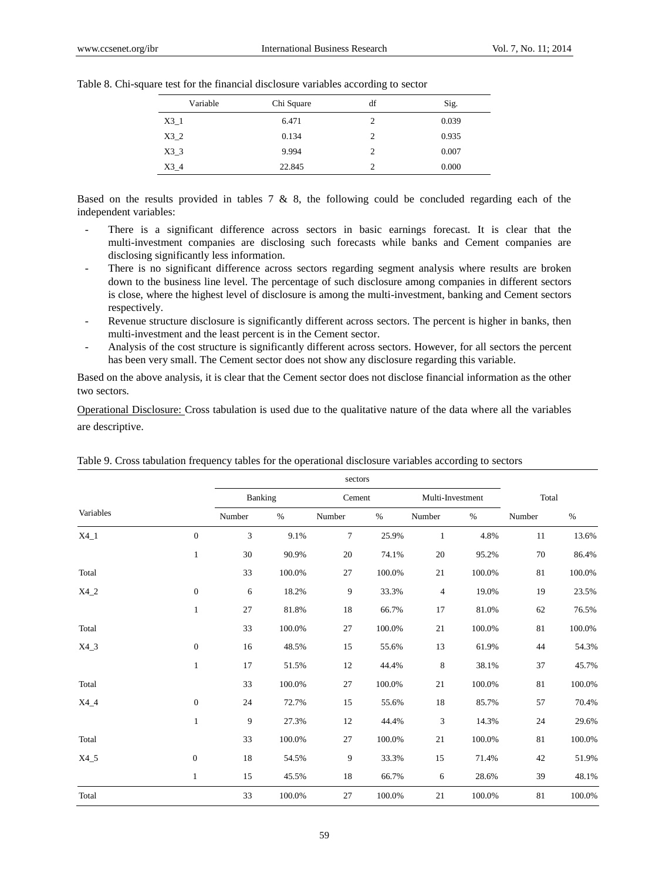| Variable | Chi Square | df | Sig.  |
|----------|------------|----|-------|
| $X3_1$   | 6.471      | 2  | 0.039 |
| X3 2     | 0.134      | 2  | 0.935 |
| X33      | 9.994      | 2  | 0.007 |
| $X3_4$   | 22.845     |    | 0.000 |

Table 8. Chi-square test for the financial disclosure variables according to sector

Based on the results provided in tables 7  $\&$  8, the following could be concluded regarding each of the independent variables:

- There is a significant difference across sectors in basic earnings forecast. It is clear that the multi-investment companies are disclosing such forecasts while banks and Cement companies are disclosing significantly less information.
- There is no significant difference across sectors regarding segment analysis where results are broken down to the business line level. The percentage of such disclosure among companies in different sectors is close, where the highest level of disclosure is among the multi-investment, banking and Cement sectors respectively.
- Revenue structure disclosure is significantly different across sectors. The percent is higher in banks, then multi-investment and the least percent is in the Cement sector.
- Analysis of the cost structure is significantly different across sectors. However, for all sectors the percent has been very small. The Cement sector does not show any disclosure regarding this variable.

Based on the above analysis, it is clear that the Cement sector does not disclose financial information as the other two sectors.

Operational Disclosure: Cross tabulation is used due to the qualitative nature of the data where all the variables are descriptive.

|           |                  |         |        | sectors        |        |                |                  |        |           |
|-----------|------------------|---------|--------|----------------|--------|----------------|------------------|--------|-----------|
|           |                  | Banking |        | Cement         |        |                | Multi-Investment | Total  |           |
| Variables |                  | Number  | $\%$   | Number         | $\%$   | Number         | $\%$             | Number | $\%$      |
| $X4_1$    | $\overline{0}$   | 3       | 9.1%   | $\overline{7}$ | 25.9%  | $\mathbf{1}$   | 4.8%             | 11     | 13.6%     |
|           | $\mathbf{1}$     | 30      | 90.9%  | 20             | 74.1%  | 20             | 95.2%            | 70     | 86.4%     |
| Total     |                  | 33      | 100.0% | 27             | 100.0% | 21             | 100.0%           | 81     | 100.0%    |
| $X4_2$    | $\overline{0}$   | 6       | 18.2%  | 9              | 33.3%  | $\overline{4}$ | 19.0%            | 19     | 23.5%     |
|           | $\mathbf{1}$     | 27      | 81.8%  | 18             | 66.7%  | 17             | 81.0%            | 62     | 76.5%     |
| Total     |                  | 33      | 100.0% | 27             | 100.0% | 21             | 100.0%           | 81     | 100.0%    |
| $X4_3$    | $\boldsymbol{0}$ | 16      | 48.5%  | 15             | 55.6%  | 13             | 61.9%            | 44     | 54.3%     |
|           | $\mathbf{1}$     | 17      | 51.5%  | 12             | 44.4%  | $\,$ 8 $\,$    | 38.1%            | 37     | 45.7%     |
| Total     |                  | 33      | 100.0% | 27             | 100.0% | $21\,$         | 100.0%           | 81     | $100.0\%$ |
| $X4_4$    | $\boldsymbol{0}$ | 24      | 72.7%  | 15             | 55.6%  | 18             | 85.7%            | 57     | 70.4%     |
|           | $\mathbf{1}$     | 9       | 27.3%  | 12             | 44.4%  | 3              | 14.3%            | 24     | 29.6%     |
| Total     |                  | 33      | 100.0% | 27             | 100.0% | 21             | 100.0%           | 81     | 100.0%    |
| $X4_5$    | $\mathbf{0}$     | 18      | 54.5%  | 9              | 33.3%  | 15             | 71.4%            | 42     | 51.9%     |
|           | $\mathbf{1}$     | 15      | 45.5%  | 18             | 66.7%  | 6              | 28.6%            | 39     | 48.1%     |
| Total     |                  | 33      | 100.0% | 27             | 100.0% | 21             | 100.0%           | 81     | 100.0%    |

Table 9. Cross tabulation frequency tables for the operational disclosure variables according to sectors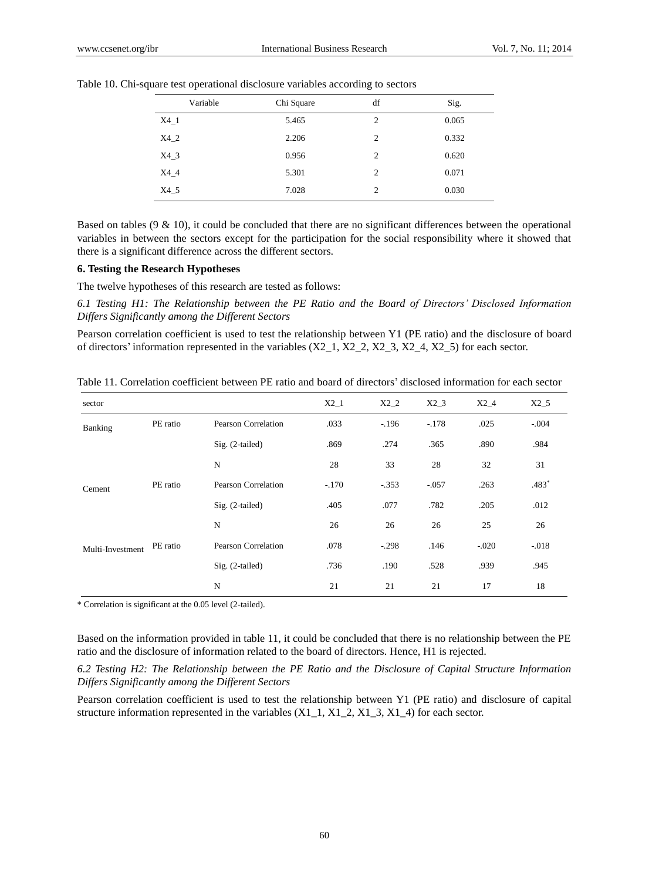| Variable | Chi Square | df             | Sig.  |
|----------|------------|----------------|-------|
| $X4_1$   | 5.465      | 2              | 0.065 |
| $X4_2$   | 2.206      | $\overline{c}$ | 0.332 |
| $X4_3$   | 0.956      | $\overline{c}$ | 0.620 |
| $X4_4$   | 5.301      | $\overline{c}$ | 0.071 |
| $X4_5$   | 7.028      | 2              | 0.030 |

Table 10. Chi-square test operational disclosure variables according to sectors

Based on tables  $(9 \& 10)$ , it could be concluded that there are no significant differences between the operational variables in between the sectors except for the participation for the social responsibility where it showed that there is a significant difference across the different sectors.

#### **6. Testing the Research Hypotheses**

The twelve hypotheses of this research are tested as follows:

*6.1 Testing H1: The Relationship between the PE Ratio and the Board of Directors' Disclosed Information Differs Significantly among the Different Sectors*

Pearson correlation coefficient is used to test the relationship between Y1 (PE ratio) and the disclosure of board of directors' information represented in the variables  $(X2_1, X2_2, X2_3, X2_4, X2_5)$  for each sector.

| sector           |          |                     | $X2_1$  | $X2_2$  | $X2_3$  | $X2_4$  | $X2_5$  |
|------------------|----------|---------------------|---------|---------|---------|---------|---------|
| Banking          | PE ratio | Pearson Correlation | .033    | $-196$  | $-.178$ | .025    | $-.004$ |
|                  |          | $Sig. (2-tailed)$   | .869    | .274    | .365    | .890    | .984    |
|                  |          | N                   | 28      | 33      | 28      | 32      | 31      |
| Cement           | PE ratio | Pearson Correlation | $-.170$ | $-.353$ | $-.057$ | .263    | .483*   |
|                  |          | $Sig. (2-tailed)$   | .405    | .077    | .782    | .205    | .012    |
|                  |          | $\mathbf N$         | 26      | 26      | 26      | 25      | 26      |
| Multi-Investment | PE ratio | Pearson Correlation | .078    | $-.298$ | .146    | $-.020$ | $-.018$ |
|                  |          | $Sig. (2-tailed)$   | .736    | .190    | .528    | .939    | .945    |
|                  |          | N                   | 21      | 21      | 21      | 17      | 18      |

Table 11. Correlation coefficient between PE ratio and board of directors' disclosed information for each sector

\* Correlation is significant at the 0.05 level (2-tailed).

Based on the information provided in table 11, it could be concluded that there is no relationship between the PE ratio and the disclosure of information related to the board of directors. Hence, H1 is rejected.

*6.2 Testing H2: The Relationship between the PE Ratio and the Disclosure of Capital Structure Information Differs Significantly among the Different Sectors*

Pearson correlation coefficient is used to test the relationship between Y1 (PE ratio) and disclosure of capital structure information represented in the variables  $(X1_1, X1_2, X1_3, X1_4)$  for each sector.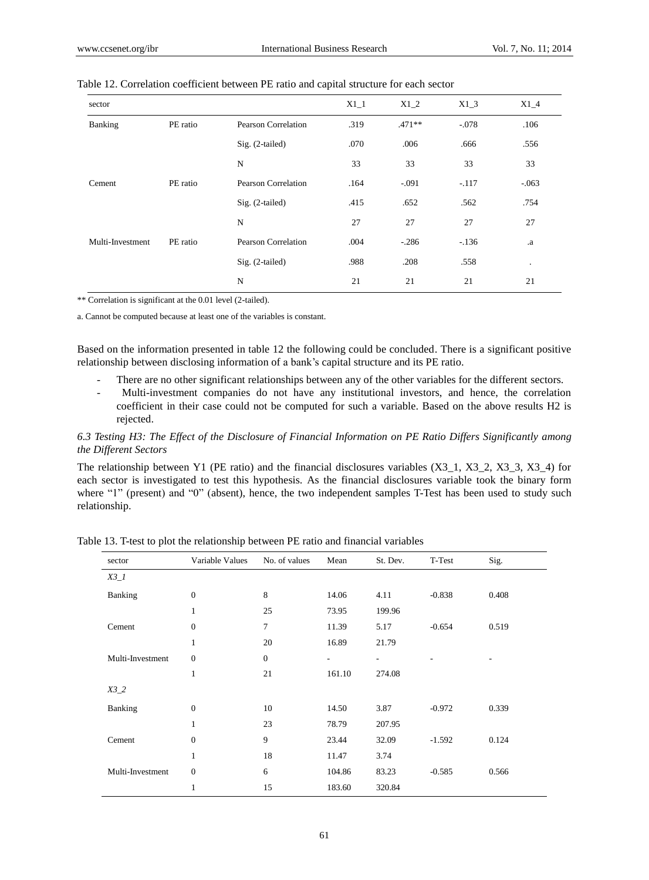| sector           |          |                            | $X1_1$ | $X1_2$   | $X1_3$  | $X1_4$  |
|------------------|----------|----------------------------|--------|----------|---------|---------|
| Banking          | PE ratio | Pearson Correlation        | .319   | $.471**$ | $-.078$ | .106    |
|                  |          | $Sig. (2-tailed)$          | .070   | .006     | .666    | .556    |
|                  |          | N                          | 33     | 33       | 33      | 33      |
| Cement           | PE ratio | Pearson Correlation        | .164   | $-.091$  | $-.117$ | $-063$  |
|                  |          | $Sig. (2-tailed)$          | .415   | .652     | .562    | .754    |
|                  |          | N                          | 27     | 27       | 27      | 27      |
| Multi-Investment | PE ratio | <b>Pearson Correlation</b> | .004   | $-.286$  | $-.136$ | .a      |
|                  |          | $Sig. (2-tailed)$          | .988   | .208     | .558    | $\cdot$ |
|                  |          | N                          | 21     | 21       | 21      | 21      |

#### Table 12. Correlation coefficient between PE ratio and capital structure for each sector

\*\* Correlation is significant at the 0.01 level (2-tailed).

a. Cannot be computed because at least one of the variables is constant.

Based on the information presented in table 12 the following could be concluded. There is a significant positive relationship between disclosing information of a bank's capital structure and its PE ratio.

- There are no other significant relationships between any of the other variables for the different sectors.
- Multi-investment companies do not have any institutional investors, and hence, the correlation coefficient in their case could not be computed for such a variable. Based on the above results H2 is rejected.

*6.3 Testing H3: The Effect of the Disclosure of Financial Information on PE Ratio Differs Significantly among the Different Sectors*

The relationship between Y1 (PE ratio) and the financial disclosures variables (X3\_1, X3\_2, X3\_3, X3\_4) for each sector is investigated to test this hypothesis. As the financial disclosures variable took the binary form where "1" (present) and "0" (absent), hence, the two independent samples T-Test has been used to study such relationship.

| sector           | Variable Values | No. of values  | Mean   | St. Dev.                 | T-Test   | Sig.  |
|------------------|-----------------|----------------|--------|--------------------------|----------|-------|
| $X3_1$           |                 |                |        |                          |          |       |
| Banking          | $\theta$        | 8              | 14.06  | 4.11                     | $-0.838$ | 0.408 |
|                  | 1               | 25             | 73.95  | 199.96                   |          |       |
| Cement           | $\mathbf{0}$    | $\overline{7}$ | 11.39  | 5.17                     | $-0.654$ | 0.519 |
|                  | 1               | 20             | 16.89  | 21.79                    |          |       |
| Multi-Investment | $\theta$        | $\overline{0}$ | ۰      | $\overline{\phantom{a}}$ | ۰        |       |
|                  | $\mathbf{1}$    | 21             | 161.10 | 274.08                   |          |       |
| $X3_2$           |                 |                |        |                          |          |       |
| Banking          | $\mathbf{0}$    | 10             | 14.50  | 3.87                     | $-0.972$ | 0.339 |
|                  | $\mathbf{1}$    | 23             | 78.79  | 207.95                   |          |       |
| Cement           | $\theta$        | 9              | 23.44  | 32.09                    | $-1.592$ | 0.124 |
|                  | 1               | 18             | 11.47  | 3.74                     |          |       |
| Multi-Investment | $\theta$        | 6              | 104.86 | 83.23                    | $-0.585$ | 0.566 |
|                  | 1               | 15             | 183.60 | 320.84                   |          |       |

Table 13. T-test to plot the relationship between PE ratio and financial variables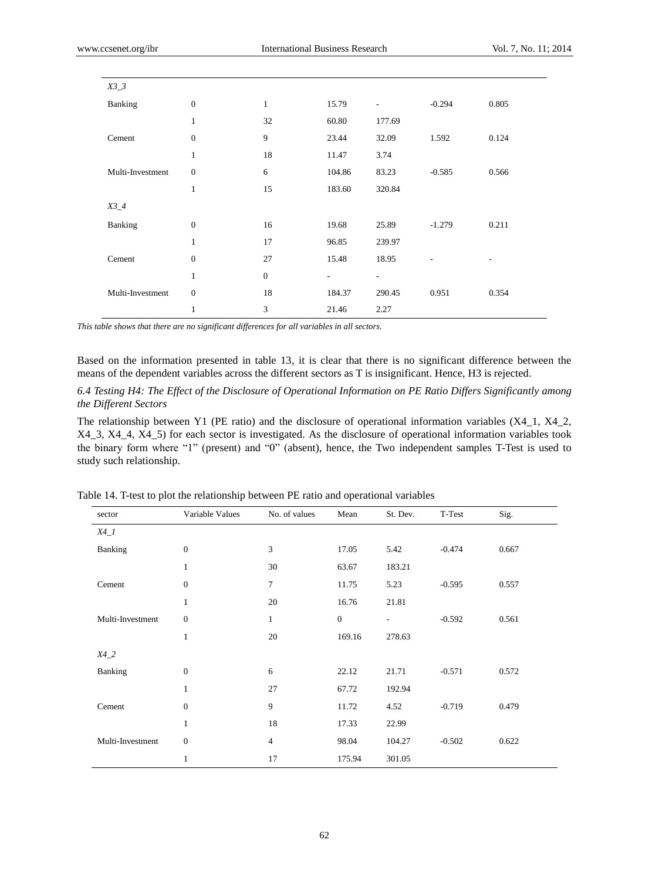| $X3_3$           |                  |                  |        |                          |                |                          |
|------------------|------------------|------------------|--------|--------------------------|----------------|--------------------------|
| Banking          | $\boldsymbol{0}$ | $\mathbf{1}$     | 15.79  | $\overline{\phantom{0}}$ | $-0.294$       | 0.805                    |
|                  | 1                | 32               | 60.80  | 177.69                   |                |                          |
| Cement           | $\boldsymbol{0}$ | 9                | 23.44  | 32.09                    | 1.592          | 0.124                    |
|                  | 1                | 18               | 11.47  | 3.74                     |                |                          |
| Multi-Investment | $\boldsymbol{0}$ | 6                | 104.86 | 83.23                    | $-0.585$       | 0.566                    |
|                  | $\mathbf{1}$     | 15               | 183.60 | 320.84                   |                |                          |
| $X3_4$           |                  |                  |        |                          |                |                          |
| Banking          | $\boldsymbol{0}$ | 16               | 19.68  | 25.89                    | $-1.279$       | 0.211                    |
|                  | $\mathbf{1}$     | 17               | 96.85  | 239.97                   |                |                          |
| Cement           | $\boldsymbol{0}$ | 27               | 15.48  | 18.95                    | $\overline{a}$ | $\overline{\phantom{0}}$ |
|                  | $\mathbf{1}$     | $\boldsymbol{0}$ |        | $\overline{\phantom{0}}$ |                |                          |
| Multi-Investment | $\boldsymbol{0}$ | 18               | 184.37 | 290.45                   | 0.951          | 0.354                    |
|                  | 1                | 3                | 21.46  | 2.27                     |                |                          |

*This table shows that there are no significant differences for all variables in all sectors.*

Based on the information presented in table 13, it is clear that there is no significant difference between the means of the dependent variables across the different sectors as T is insignificant. Hence, H3 is rejected.

*6.4 Testing H4: The Effect of the Disclosure of Operational Information on PE Ratio Differs Significantly among the Different Sectors*

The relationship between Y1 (PE ratio) and the disclosure of operational information variables (X4\_1, X4\_2, X4\_3, X4\_4, X4\_5) for each sector is investigated. As the disclosure of operational information variables took the binary form where "1" (present) and "0" (absent), hence, the Two independent samples T-Test is used to study such relationship.

| sector           | Variable Values  | No. of values  | Mean             | St. Dev. | T-Test   | Sig.  |
|------------------|------------------|----------------|------------------|----------|----------|-------|
| $X4_l$           |                  |                |                  |          |          |       |
| Banking          | $\boldsymbol{0}$ | 3              | 17.05            | 5.42     | $-0.474$ | 0.667 |
|                  | $\mathbf{1}$     | 30             | 63.67            | 183.21   |          |       |
| Cement           | $\overline{0}$   | $\overline{7}$ | 11.75            | 5.23     | $-0.595$ | 0.557 |
|                  | $\mathbf{1}$     | 20             | 16.76            | 21.81    |          |       |
| Multi-Investment | $\overline{0}$   | $\mathbf{1}$   | $\boldsymbol{0}$ | $\sim$   | $-0.592$ | 0.561 |
|                  | $\mathbf{1}$     | 20             | 169.16           | 278.63   |          |       |
| $X4_2$           |                  |                |                  |          |          |       |
| Banking          | $\boldsymbol{0}$ | 6              | 22.12            | 21.71    | $-0.571$ | 0.572 |
|                  | $\mathbf{1}$     | 27             | 67.72            | 192.94   |          |       |
| Cement           | $\mathbf{0}$     | 9              | 11.72            | 4.52     | $-0.719$ | 0.479 |
|                  | $\mathbf{1}$     | 18             | 17.33            | 22.99    |          |       |
| Multi-Investment | $\overline{0}$   | $\overline{4}$ | 98.04            | 104.27   | $-0.502$ | 0.622 |
|                  | 1                | 17             | 175.94           | 301.05   |          |       |

Table 14. T-test to plot the relationship between PE ratio and operational variables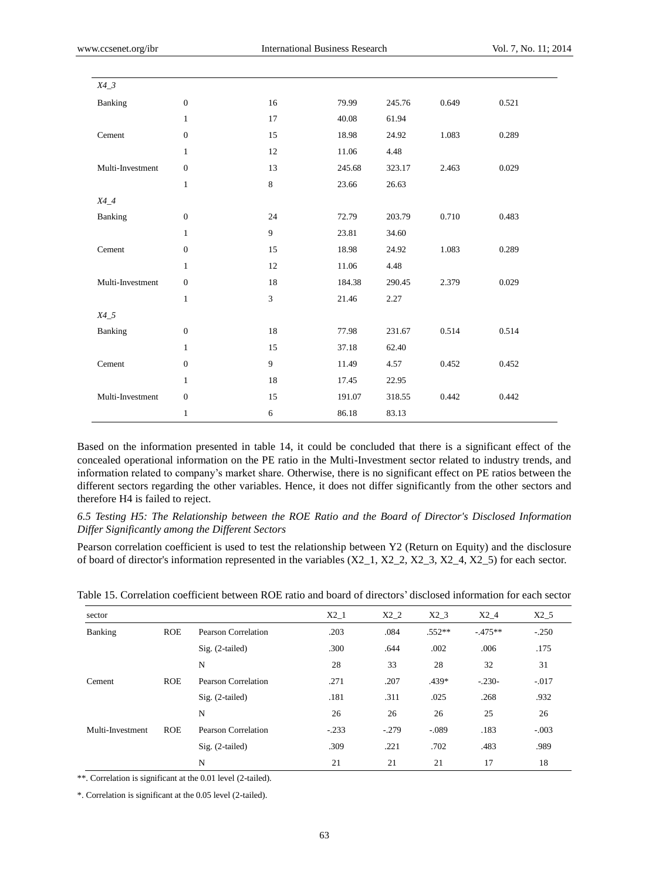| $X4_3$           |                  |    |        |        |       |       |
|------------------|------------------|----|--------|--------|-------|-------|
| Banking          | $\boldsymbol{0}$ | 16 | 79.99  | 245.76 | 0.649 | 0.521 |
|                  | $\mathbf{1}$     | 17 | 40.08  | 61.94  |       |       |
| Cement           | $\boldsymbol{0}$ | 15 | 18.98  | 24.92  | 1.083 | 0.289 |
|                  | $\mathbf{1}$     | 12 | 11.06  | 4.48   |       |       |
| Multi-Investment | $\boldsymbol{0}$ | 13 | 245.68 | 323.17 | 2.463 | 0.029 |
|                  | $\mathbf{1}$     | 8  | 23.66  | 26.63  |       |       |
| $X4_4$           |                  |    |        |        |       |       |
| Banking          | $\boldsymbol{0}$ | 24 | 72.79  | 203.79 | 0.710 | 0.483 |
|                  | $\mathbf{1}$     | 9  | 23.81  | 34.60  |       |       |
| Cement           | $\boldsymbol{0}$ | 15 | 18.98  | 24.92  | 1.083 | 0.289 |
|                  | $\mathbf{1}$     | 12 | 11.06  | 4.48   |       |       |
| Multi-Investment | $\boldsymbol{0}$ | 18 | 184.38 | 290.45 | 2.379 | 0.029 |
|                  | $\mathbf{1}$     | 3  | 21.46  | 2.27   |       |       |
| $X4\_5$          |                  |    |        |        |       |       |
| Banking          | $\boldsymbol{0}$ | 18 | 77.98  | 231.67 | 0.514 | 0.514 |
|                  | $\mathbf{1}$     | 15 | 37.18  | 62.40  |       |       |
| Cement           | $\boldsymbol{0}$ | 9  | 11.49  | 4.57   | 0.452 | 0.452 |
|                  | $\mathbf{1}$     | 18 | 17.45  | 22.95  |       |       |
| Multi-Investment | $\boldsymbol{0}$ | 15 | 191.07 | 318.55 | 0.442 | 0.442 |
|                  | $\mathbf{1}$     | 6  | 86.18  | 83.13  |       |       |

Based on the information presented in table 14, it could be concluded that there is a significant effect of the concealed operational information on the PE ratio in the Multi-Investment sector related to industry trends, and information related to company's market share. Otherwise, there is no significant effect on PE ratios between the different sectors regarding the other variables. Hence, it does not differ significantly from the other sectors and therefore H4 is failed to reject.

*6.5 Testing H5: The Relationship between the ROE Ratio and the Board of Director's Disclosed Information Differ Significantly among the Different Sectors*

Pearson correlation coefficient is used to test the relationship between Y2 (Return on Equity) and the disclosure of board of director's information represented in the variables  $(X2_1, X2_2, X2_3, X2_4, X2_5)$  for each sector.

| sector           |            |                     | $X2_1$  | $X2_2$  | $X2_3$   | $X2_4$   | $X2_5$  |
|------------------|------------|---------------------|---------|---------|----------|----------|---------|
| Banking          | <b>ROE</b> | Pearson Correlation | .203    | .084    | $.552**$ | $-475**$ | $-.250$ |
|                  |            | $Sig. (2-tailed)$   | .300    | .644    | .002     | .006     | .175    |
|                  |            | N                   | 28      | 33      | 28       | 32       | 31      |
| Cement           | <b>ROE</b> | Pearson Correlation | .271    | .207    | $.439*$  | $-.230-$ | $-.017$ |
|                  |            | $Sig. (2-tailed)$   | .181    | .311    | .025     | .268     | .932    |
|                  |            | N                   | 26      | 26      | 26       | 25       | 26      |
| Multi-Investment | <b>ROE</b> | Pearson Correlation | $-.233$ | $-.279$ | $-.089$  | .183     | $-.003$ |
|                  |            | $Sig. (2-tailed)$   | .309    | .221    | .702     | .483     | .989    |
|                  |            | N                   | 21      | 21      | 21       | 17       | 18      |

Table 15. Correlation coefficient between ROE ratio and board of directors' disclosed information for each sector

\*\*. Correlation is significant at the 0.01 level (2-tailed).

\*. Correlation is significant at the 0.05 level (2-tailed).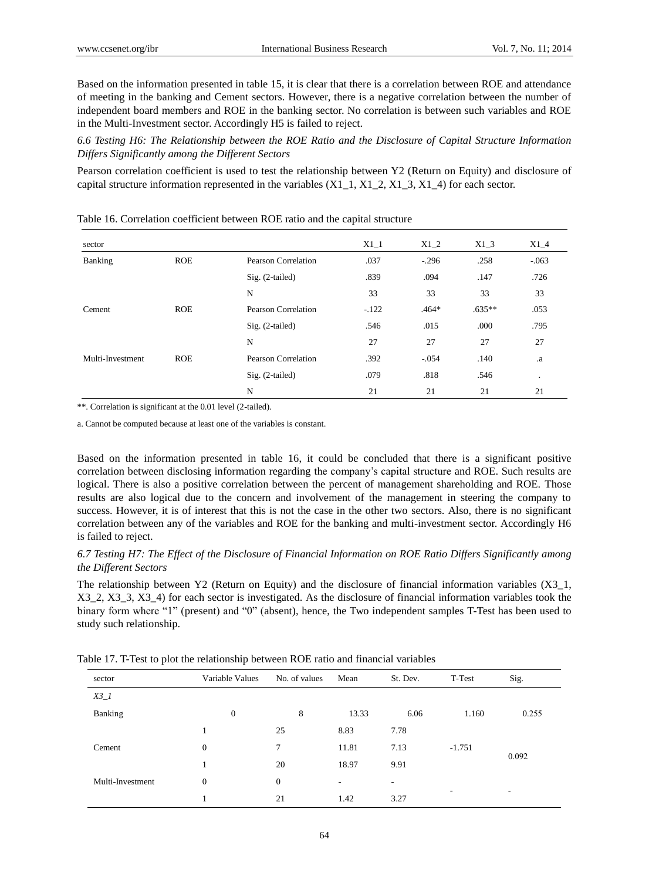Based on the information presented in table 15, it is clear that there is a correlation between ROE and attendance of meeting in the banking and Cement sectors. However, there is a negative correlation between the number of independent board members and ROE in the banking sector. No correlation is between such variables and ROE in the Multi-Investment sector. Accordingly H5 is failed to reject.

*6.6 Testing H6: The Relationship between the ROE Ratio and the Disclosure of Capital Structure Information Differs Significantly among the Different Sectors*

Pearson correlation coefficient is used to test the relationship between Y2 (Return on Equity) and disclosure of capital structure information represented in the variables (X1\_1, X1\_2, X1\_3, X1\_4) for each sector.

| sector                |            |                            | $X1_1$  | $X1_2$  | $X1_3$   | $X1_4$    |
|-----------------------|------------|----------------------------|---------|---------|----------|-----------|
| Banking<br><b>ROE</b> |            | Pearson Correlation        | .037    | $-.296$ | .258     | $-.063$   |
|                       |            | $Sig. (2-tailed)$          | .839    | .094    | .147     | .726      |
|                       |            | N                          | 33      | 33      | 33       | 33        |
| Cement                | <b>ROE</b> | Pearson Correlation        | $-.122$ | $.464*$ | $.635**$ | .053      |
|                       |            | $Sig. (2-tailed)$          | .546    | .015    | .000     | .795      |
|                       |            | N                          | 27      | 27      | 27       | 27        |
| Multi-Investment      | <b>ROE</b> | <b>Pearson Correlation</b> | .392    | $-.054$ | .140     | .a        |
|                       |            | $Sig. (2-tailed)$          | .079    | .818    | .546     | $\bullet$ |
|                       |            | N                          | 21      | 21      | 21       | 21        |

Table 16. Correlation coefficient between ROE ratio and the capital structure

\*\*. Correlation is significant at the 0.01 level (2-tailed).

a. Cannot be computed because at least one of the variables is constant.

Based on the information presented in table 16, it could be concluded that there is a significant positive correlation between disclosing information regarding the company's capital structure and ROE. Such results are logical. There is also a positive correlation between the percent of management shareholding and ROE. Those results are also logical due to the concern and involvement of the management in steering the company to success. However, it is of interest that this is not the case in the other two sectors. Also, there is no significant correlation between any of the variables and ROE for the banking and multi-investment sector. Accordingly H6 is failed to reject.

# *6.7 Testing H7: The Effect of the Disclosure of Financial Information on ROE Ratio Differs Significantly among the Different Sectors*

The relationship between Y2 (Return on Equity) and the disclosure of financial information variables (X3\_1, X3\_2, X3\_3, X3\_4) for each sector is investigated. As the disclosure of financial information variables took the binary form where "1" (present) and "0" (absent), hence, the Two independent samples T-Test has been used to study such relationship.

| sector           | Variable Values | No. of values | Mean  | St. Dev.                 | T-Test   | Sig.  |
|------------------|-----------------|---------------|-------|--------------------------|----------|-------|
| $X3_l$           |                 |               |       |                          |          |       |
| Banking          | $\theta$        | 8             | 13.33 | 6.06                     | 1.160    | 0.255 |
|                  | 1               | 25            | 8.83  | 7.78                     |          |       |
| Cement           | $\theta$        | 7             | 11.81 | 7.13                     | $-1.751$ |       |
|                  | 1               | 20            | 18.97 | 9.91                     |          | 0.092 |
| Multi-Investment | $\theta$        | $\mathbf{0}$  | ۰     | $\overline{\phantom{a}}$ |          |       |
|                  |                 | 21            | 1.42  | 3.27                     | -        |       |

Table 17. T-Test to plot the relationship between ROE ratio and financial variables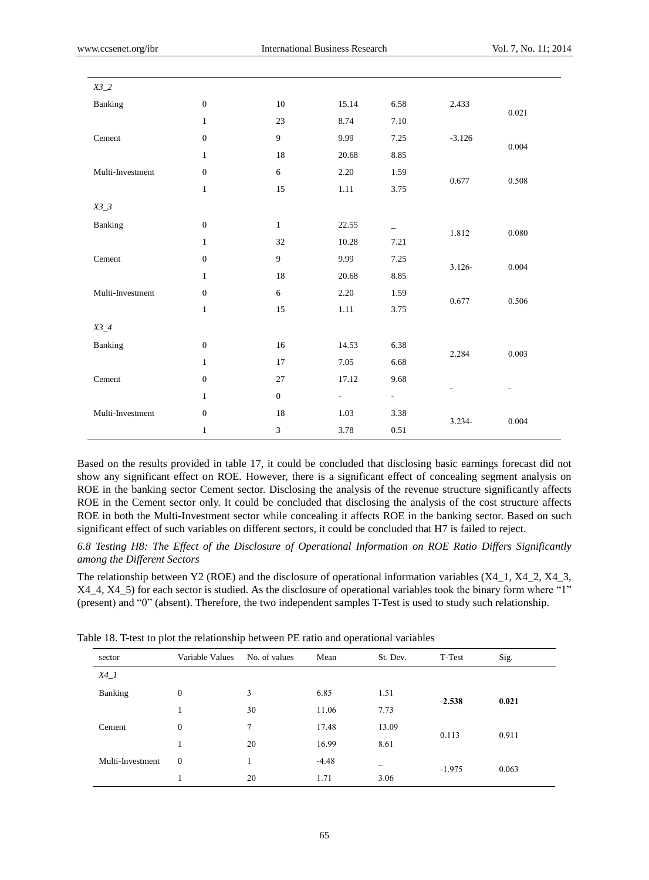| $X3_2$           |                  |                  |                          |                          |           |       |
|------------------|------------------|------------------|--------------------------|--------------------------|-----------|-------|
| Banking          | $\boldsymbol{0}$ | $10\,$           | 15.14                    | 6.58                     | 2.433     | 0.021 |
|                  | $\mathbf{1}$     | 23               | 8.74                     | 7.10                     |           |       |
| Cement           | $\boldsymbol{0}$ | $\overline{9}$   | 9.99                     | 7.25                     | $-3.126$  | 0.004 |
|                  | $\mathbf{1}$     | 18               | 20.68                    | 8.85                     |           |       |
| Multi-Investment | $\boldsymbol{0}$ | $\sqrt{6}$       | 2.20                     | 1.59                     | 0.677     | 0.508 |
|                  | $\,1\,$          | $15\,$           | $1.11\,$                 | 3.75                     |           |       |
| $X3_3$           |                  |                  |                          |                          |           |       |
| Banking          | $\boldsymbol{0}$ | $\mathbf{1}$     | 22.55                    | $\overline{\phantom{0}}$ | 1.812     | 0.080 |
|                  | $\mathbf{1}$     | 32               | 10.28                    | 7.21                     |           |       |
| Cement           | $\boldsymbol{0}$ | $\boldsymbol{9}$ | 9.99                     | 7.25                     | $3.126 -$ | 0.004 |
|                  | $\mathbf{1}$     | $18\,$           | 20.68                    | 8.85                     |           |       |
| Multi-Investment | $\boldsymbol{0}$ | $\sqrt{6}$       | 2.20                     | 1.59                     | 0.677     | 0.506 |
|                  | $\mathbf{1}$     | 15               | 1.11                     | 3.75                     |           |       |
| $X3_4$           |                  |                  |                          |                          |           |       |
| Banking          | $\boldsymbol{0}$ | 16               | 14.53                    | 6.38                     |           |       |
|                  | $\mathbf{1}$     | 17               | 7.05                     | 6.68                     | 2.284     | 0.003 |
| Cement           | $\boldsymbol{0}$ | 27               | 17.12                    | 9.68                     |           |       |
|                  | $\mathbf{1}$     | $\boldsymbol{0}$ | $\overline{\phantom{a}}$ | $\sim$                   |           |       |
| Multi-Investment | $\boldsymbol{0}$ | $18\,$           | 1.03                     | 3.38                     |           | 0.004 |
|                  | $\mathbf{1}$     | $\sqrt{3}$       | 3.78                     | $0.51\,$                 | 3.234-    |       |

Based on the results provided in table 17, it could be concluded that disclosing basic earnings forecast did not show any significant effect on ROE. However, there is a significant effect of concealing segment analysis on ROE in the banking sector Cement sector. Disclosing the analysis of the revenue structure significantly affects ROE in the Cement sector only. It could be concluded that disclosing the analysis of the cost structure affects ROE in both the Multi-Investment sector while concealing it affects ROE in the banking sector. Based on such significant effect of such variables on different sectors, it could be concluded that H7 is failed to reject.

*6.8 Testing H8: The Effect of the Disclosure of Operational Information on ROE Ratio Differs Significantly among the Different Sectors*

The relationship between Y2 (ROE) and the disclosure of operational information variables (X4\_1, X4\_2, X4\_3, X4\_4, X4\_5) for each sector is studied. As the disclosure of operational variables took the binary form where "1" (present) and "0" (absent). Therefore, the two independent samples T-Test is used to study such relationship.

| able 10. I test to plot the relationship between 11 ratio and operational variables |                 |               |                |          |          |       |
|-------------------------------------------------------------------------------------|-----------------|---------------|----------------|----------|----------|-------|
| sector                                                                              | Variable Values | No. of values | Mean           | St. Dev. | T-Test   | Sig.  |
| $X4_l$                                                                              |                 |               |                |          |          |       |
| Banking                                                                             | $\mathbf{0}$    | 3             | 6.85           | 1.51     |          |       |
|                                                                                     |                 | 30            | 11.06          | 7.73     | $-2.538$ | 0.021 |
| Cement                                                                              | $\theta$        | 7             | 17.48<br>13.09 |          |          |       |
|                                                                                     |                 | 20            | 16.99          | 8.61     | 0.113    | 0.911 |
| Multi-Investment                                                                    | $\theta$        |               | $-4.48$        | -        | $-1975$  | 0.063 |

 $1 \t 20 \t 1.71 \t 3.06$ 

Table 18. T-test to plot the relationship between PE ratio and operational variables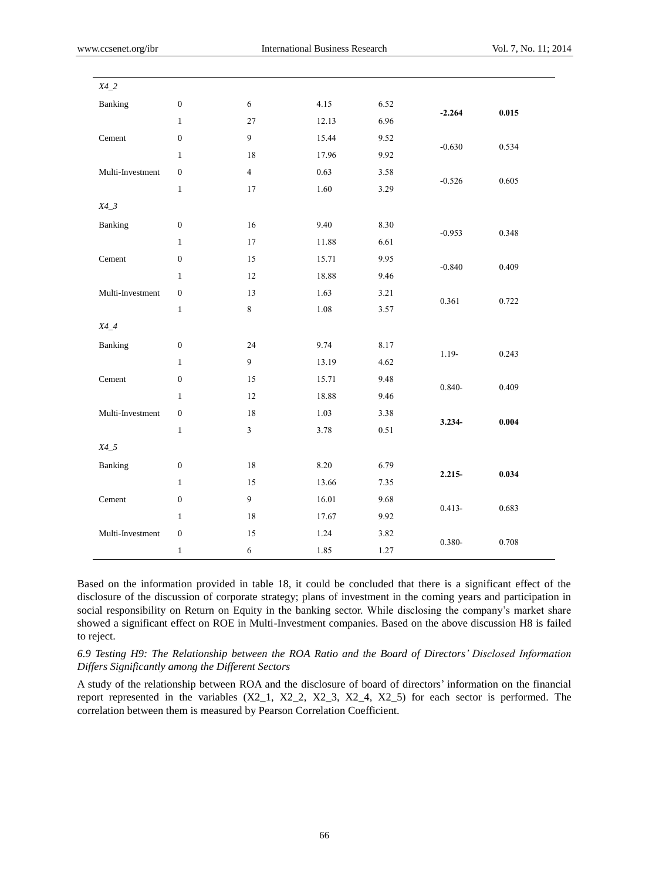| $X4_2$           |                  |                         |       |      |           |       |
|------------------|------------------|-------------------------|-------|------|-----------|-------|
|                  |                  |                         |       |      |           |       |
| Banking          | $\boldsymbol{0}$ | $\sqrt{6}$              | 4.15  | 6.52 | $-2.264$  | 0.015 |
|                  | $\mathbf{1}$     | $27\,$                  | 12.13 | 6.96 |           |       |
| Cement           | $\boldsymbol{0}$ | $\overline{9}$          | 15.44 | 9.52 | $-0.630$  | 0.534 |
|                  | $\mathbf{1}$     | 18                      | 17.96 | 9.92 |           |       |
| Multi-Investment | $\boldsymbol{0}$ | $\overline{4}$          | 0.63  | 3.58 | $-0.526$  | 0.605 |
|                  | $\,1\,$          | 17                      | 1.60  | 3.29 |           |       |
| $X4_3$           |                  |                         |       |      |           |       |
| Banking          | $\boldsymbol{0}$ | 16                      | 9.40  | 8.30 |           |       |
|                  | $\mathbf{1}$     | 17                      | 11.88 | 6.61 | $-0.953$  | 0.348 |
| Cement           | $\boldsymbol{0}$ | 15                      | 15.71 | 9.95 |           |       |
|                  | $\mathbf{1}$     | 12                      | 18.88 | 9.46 | $-0.840$  | 0.409 |
| Multi-Investment | $\boldsymbol{0}$ | 13                      | 1.63  | 3.21 | 0.361     | 0.722 |
|                  | $\,1\,$          | $\,8\,$                 | 1.08  | 3.57 |           |       |
| $X4_4$           |                  |                         |       |      |           |       |
| Banking          | $\boldsymbol{0}$ | 24                      | 9.74  | 8.17 |           |       |
|                  | $1\,$            | $\overline{9}$          | 13.19 | 4.62 | $1.19-$   | 0.243 |
| Cement           | $\boldsymbol{0}$ | 15                      | 15.71 | 9.48 |           |       |
|                  | $\mathbf{1}$     | 12                      | 18.88 | 9.46 | $0.840 -$ | 0.409 |
| Multi-Investment | $\boldsymbol{0}$ | 18                      | 1.03  | 3.38 |           |       |
|                  | $\mathbf{1}$     | $\overline{\mathbf{3}}$ | 3.78  | 0.51 | 3.234-    | 0.004 |
| $X4_5$           |                  |                         |       |      |           |       |
| Banking          | $\boldsymbol{0}$ | 18                      | 8.20  | 6.79 |           |       |
|                  | $\mathbf{1}$     | 15                      | 13.66 | 7.35 | 2.215-    | 0.034 |
| Cement           | $\boldsymbol{0}$ | $\overline{9}$          | 16.01 | 9.68 |           |       |
|                  | $1\,$            | 18                      | 17.67 | 9.92 | $0.413 -$ | 0.683 |
| Multi-Investment | $\boldsymbol{0}$ | 15                      | 1.24  | 3.82 |           |       |
|                  | $\mathbf{1}$     | $\sqrt{6}$              | 1.85  | 1.27 | $0.380 -$ | 0.708 |

Based on the information provided in table 18, it could be concluded that there is a significant effect of the disclosure of the discussion of corporate strategy; plans of investment in the coming years and participation in social responsibility on Return on Equity in the banking sector. While disclosing the company's market share showed a significant effect on ROE in Multi-Investment companies. Based on the above discussion H8 is failed to reject.

*6.9 Testing H9: The Relationship between the ROA Ratio and the Board of Directors' Disclosed Information Differs Significantly among the Different Sectors*

A study of the relationship between ROA and the disclosure of board of directors' information on the financial report represented in the variables (X2\_1, X2\_2, X2\_3, X2\_4, X2\_5) for each sector is performed. The correlation between them is measured by Pearson Correlation Coefficient.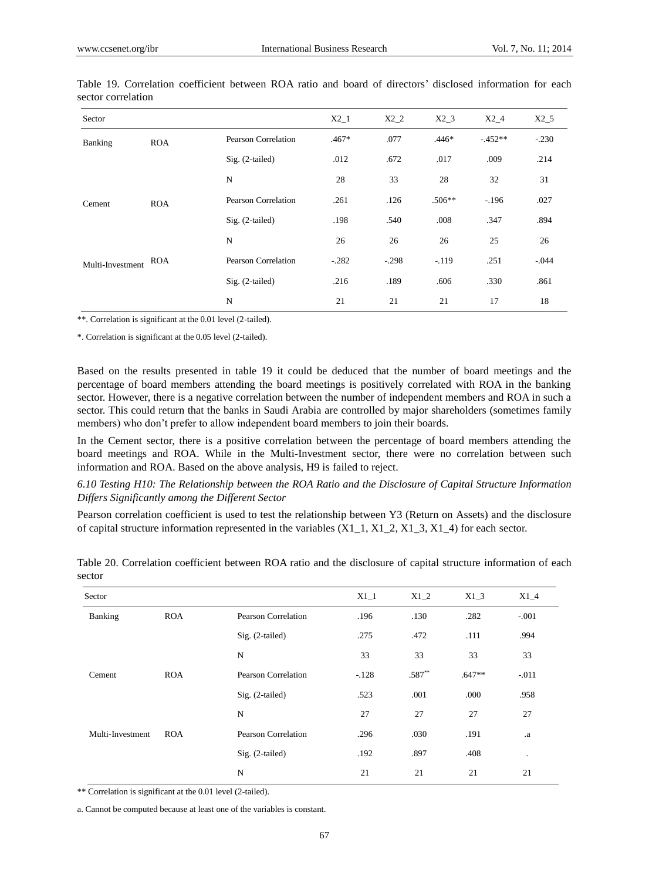| Sector           |            |                            | $X2_1$  | $X2_2$  | $X2_3$   | $X2_4$    | $X2_5$   |
|------------------|------------|----------------------------|---------|---------|----------|-----------|----------|
| Banking          | <b>ROA</b> | Pearson Correlation        | $.467*$ | .077    | $.446*$  | $-.452**$ | $-.230$  |
|                  |            | $Sig. (2-tailed)$          | .012    | .672    | .017     | .009      | .214     |
|                  |            | N                          | 28      | 33      | 28       | 32        | 31       |
| Cement           | <b>ROA</b> | Pearson Correlation        | .261    | .126    | $.506**$ | $-196$    | .027     |
|                  |            | $Sig. (2-tailed)$          | .198    | .540    | .008     | .347      | .894     |
|                  |            | N                          | 26      | 26      | 26       | 25        | 26       |
| Multi-Investment | <b>ROA</b> | <b>Pearson Correlation</b> | $-.282$ | $-.298$ | $-119$   | .251      | $-0.044$ |
|                  |            | $Sig. (2-tailed)$          | .216    | .189    | .606     | .330      | .861     |
|                  |            | N                          | 21      | 21      | 21       | 17        | 18       |

Table 19. Correlation coefficient between ROA ratio and board of directors' disclosed information for each sector correlation

\*\*. Correlation is significant at the 0.01 level (2-tailed).

\*. Correlation is significant at the 0.05 level (2-tailed).

Based on the results presented in table 19 it could be deduced that the number of board meetings and the percentage of board members attending the board meetings is positively correlated with ROA in the banking sector. However, there is a negative correlation between the number of independent members and ROA in such a sector. This could return that the banks in Saudi Arabia are controlled by major shareholders (sometimes family members) who don't prefer to allow independent board members to join their boards.

In the Cement sector, there is a positive correlation between the percentage of board members attending the board meetings and ROA. While in the Multi-Investment sector, there were no correlation between such information and ROA. Based on the above analysis, H9 is failed to reject.

*6.10 Testing H10: The Relationship between the ROA Ratio and the Disclosure of Capital Structure Information Differs Significantly among the Different Sector*

Pearson correlation coefficient is used to test the relationship between Y3 (Return on Assets) and the disclosure of capital structure information represented in the variables  $(X1_1, X1_2, X1_3, X1_4)$  for each sector.

| Sector           |            |                     | $X1_1$  | $X1_2$   | $X1_3$   | $X1_4$    |
|------------------|------------|---------------------|---------|----------|----------|-----------|
| Banking          | <b>ROA</b> | Pearson Correlation | .196    | .130     | .282     | $-.001$   |
|                  |            | $Sig. (2-tailed)$   | .275    | .472     | .111     | .994      |
|                  |            | N                   | 33      | 33       | 33       | 33        |
| Cement           | <b>ROA</b> | Pearson Correlation | $-.128$ | $.587**$ | $.647**$ | $-.011$   |
|                  |            | $Sig. (2-tailed)$   | .523    | .001     | .000     | .958      |
|                  |            | N                   | 27      | 27       | 27       | 27        |
| Multi-Investment | <b>ROA</b> | Pearson Correlation | .296    | .030     | .191     | .a        |
|                  |            | Sig. (2-tailed)     | .192    | .897     | .408     | $\bullet$ |
|                  |            | N                   | 21      | 21       | 21       | 21        |

Table 20. Correlation coefficient between ROA ratio and the disclosure of capital structure information of each sector

\*\* Correlation is significant at the 0.01 level (2-tailed).

a. Cannot be computed because at least one of the variables is constant.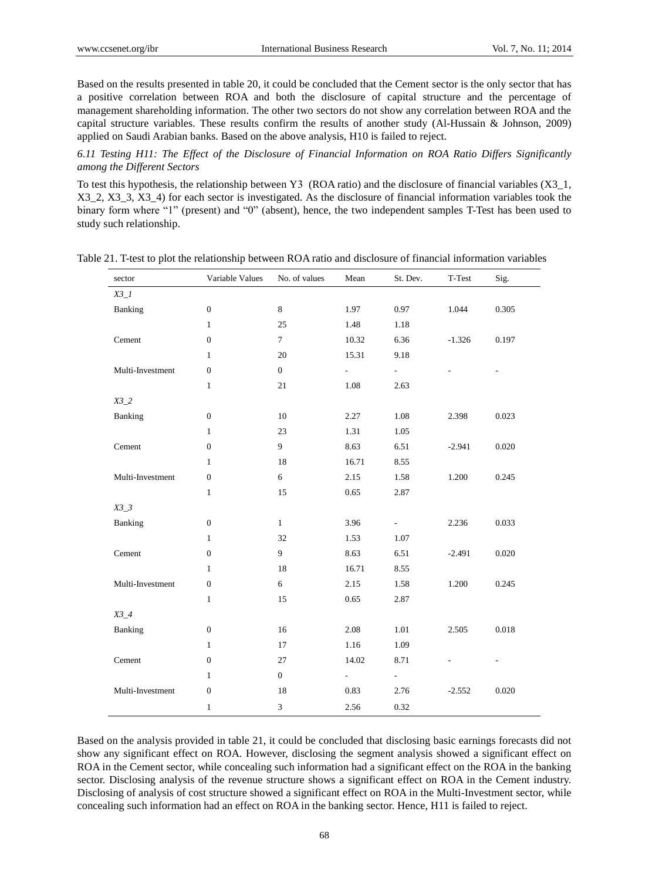Based on the results presented in table 20, it could be concluded that the Cement sector is the only sector that has a positive correlation between ROA and both the disclosure of capital structure and the percentage of management shareholding information. The other two sectors do not show any correlation between ROA and the capital structure variables. These results confirm the results of another study (Al-Hussain & Johnson, 2009) applied on Saudi Arabian banks. Based on the above analysis, H10 is failed to reject.

*6.11 Testing H11: The Effect of the Disclosure of Financial Information on ROA Ratio Differs Significantly among the Different Sectors*

To test this hypothesis, the relationship between Y3 (ROA ratio) and the disclosure of financial variables  $(X3\;1,$ X3\_2, X3\_3, X3\_4) for each sector is investigated. As the disclosure of financial information variables took the binary form where "1" (present) and "0" (absent), hence, the two independent samples T-Test has been used to study such relationship.

| sector           | Variable Values  | No. of values    | Mean                     | St. Dev.                 | T-Test   | Sig.  |
|------------------|------------------|------------------|--------------------------|--------------------------|----------|-------|
| $X3_l$           |                  |                  |                          |                          |          |       |
| Banking          | $\boldsymbol{0}$ | $\,8\,$          | 1.97                     | 0.97                     | 1.044    | 0.305 |
|                  | $\mathbf{1}$     | 25               | 1.48                     | 1.18                     |          |       |
| Cement           | $\boldsymbol{0}$ | $\tau$           | 10.32                    | 6.36                     | $-1.326$ | 0.197 |
|                  | $\mathbf{1}$     | $20\,$           | 15.31                    | 9.18                     |          |       |
| Multi-Investment | $\boldsymbol{0}$ | $\boldsymbol{0}$ | $\mathbf{L}$             | $\omega_{\rm c}$         |          |       |
|                  | $\mathbf{1}$     | $21\,$           | 1.08                     | 2.63                     |          |       |
| $X3_2$           |                  |                  |                          |                          |          |       |
| Banking          | $\boldsymbol{0}$ | $10\,$           | 2.27                     | 1.08                     | 2.398    | 0.023 |
|                  | $\mathbf{1}$     | 23               | 1.31                     | 1.05                     |          |       |
| Cement           | $\boldsymbol{0}$ | 9                | 8.63                     | 6.51                     | $-2.941$ | 0.020 |
|                  | $\mathbf{1}$     | 18               | 16.71                    | 8.55                     |          |       |
| Multi-Investment | $\boldsymbol{0}$ | 6                | 2.15                     | 1.58                     | 1.200    | 0.245 |
|                  | $\mathbf{1}$     | 15               | 0.65                     | 2.87                     |          |       |
| $X3_3$           |                  |                  |                          |                          |          |       |
| Banking          | $\boldsymbol{0}$ | $\mathbf{1}$     | 3.96                     | $\overline{\phantom{a}}$ | 2.236    | 0.033 |
|                  | $\mathbf{1}$     | 32               | 1.53                     | 1.07                     |          |       |
| Cement           | $\boldsymbol{0}$ | 9                | 8.63                     | 6.51                     | $-2.491$ | 0.020 |
|                  | $\mathbf{1}$     | 18               | 16.71                    | 8.55                     |          |       |
| Multi-Investment | $\boldsymbol{0}$ | 6                | 2.15                     | 1.58                     | 1.200    | 0.245 |
|                  | $\mathbf{1}$     | 15               | 0.65                     | 2.87                     |          |       |
| $X3_4$           |                  |                  |                          |                          |          |       |
| Banking          | $\boldsymbol{0}$ | 16               | 2.08                     | 1.01                     | 2.505    | 0.018 |
|                  | $\mathbf{1}$     | 17               | 1.16                     | 1.09                     |          |       |
| Cement           | $\boldsymbol{0}$ | 27               | 14.02                    | 8.71                     |          |       |
|                  | $\mathbf{1}$     | $\overline{0}$   | $\overline{\phantom{0}}$ | ÷.                       |          |       |
| Multi-Investment | $\boldsymbol{0}$ | 18               | 0.83                     | 2.76                     | $-2.552$ | 0.020 |
|                  | $\mathbf{1}$     | 3                | 2.56                     | 0.32                     |          |       |

Table 21. T-test to plot the relationship between ROA ratio and disclosure of financial information variables

Based on the analysis provided in table 21, it could be concluded that disclosing basic earnings forecasts did not show any significant effect on ROA. However, disclosing the segment analysis showed a significant effect on ROA in the Cement sector, while concealing such information had a significant effect on the ROA in the banking sector. Disclosing analysis of the revenue structure shows a significant effect on ROA in the Cement industry. Disclosing of analysis of cost structure showed a significant effect on ROA in the Multi-Investment sector, while concealing such information had an effect on ROA in the banking sector. Hence, H11 is failed to reject.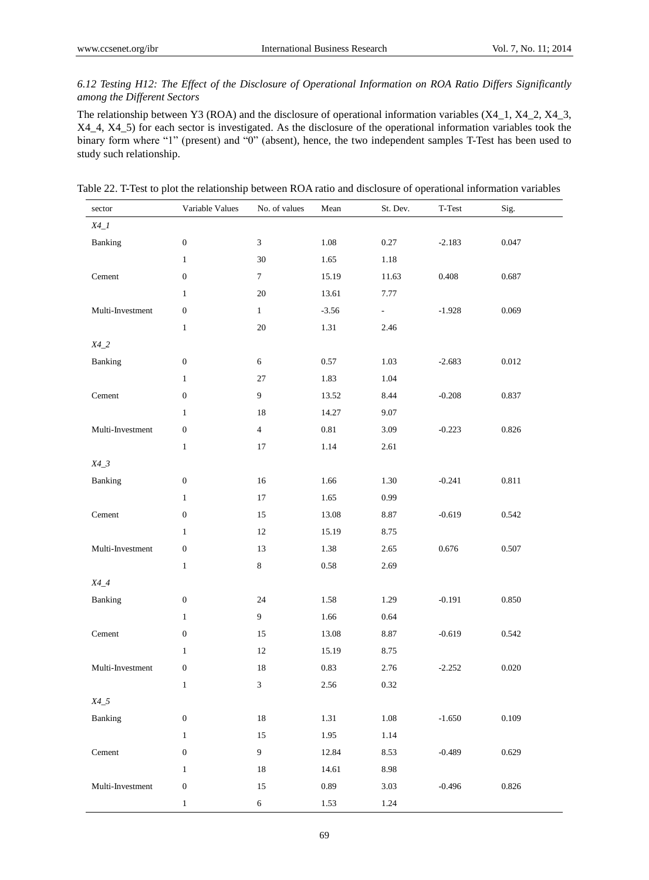# *6.12 Testing H12: The Effect of the Disclosure of Operational Information on ROA Ratio Differs Significantly among the Different Sectors*

The relationship between Y3 (ROA) and the disclosure of operational information variables (X4\_1, X4\_2, X4\_3, X4\_4, X4\_5) for each sector is investigated. As the disclosure of the operational information variables took the binary form where "1" (present) and "0" (absent), hence, the two independent samples T-Test has been used to study such relationship.

| sector           | Variable Values  | No. of values  | Mean    | St. Dev.            | $\operatorname{\mathsf{T-Test}}$ | Sig.      |
|------------------|------------------|----------------|---------|---------------------|----------------------------------|-----------|
| $X4_l$           |                  |                |         |                     |                                  |           |
| Banking          | $\boldsymbol{0}$ | $\sqrt{3}$     | 1.08    | 0.27                | $-2.183$                         | 0.047     |
|                  | $\mathbf{1}$     | 30             | 1.65    | 1.18                |                                  |           |
| Cement           | $\boldsymbol{0}$ | $\tau$         | 15.19   | 11.63               | 0.408                            | 0.687     |
|                  | $\mathbf{1}$     | $20\,$         | 13.61   | 7.77                |                                  |           |
| Multi-Investment | $\boldsymbol{0}$ | $\mathbf{1}$   | $-3.56$ | $\sigma_{\rm{max}}$ | $-1.928$                         | 0.069     |
|                  | $\mathbf{1}$     | $20\,$         | 1.31    | 2.46                |                                  |           |
| $X4_2$           |                  |                |         |                     |                                  |           |
| Banking          | $\boldsymbol{0}$ | $6\,$          | 0.57    | 1.03                | $-2.683$                         | $0.012\,$ |
|                  | $\mathbf{1}$     | $27\,$         | 1.83    | 1.04                |                                  |           |
| Cement           | $\boldsymbol{0}$ | $\overline{9}$ | 13.52   | 8.44                | $-0.208$                         | 0.837     |
|                  | $\mathbf{1}$     | 18             | 14.27   | 9.07                |                                  |           |
| Multi-Investment | $\boldsymbol{0}$ | $\overline{4}$ | 0.81    | 3.09                | $-0.223$                         | 0.826     |
|                  | $\mathbf{1}$     | 17             | 1.14    | 2.61                |                                  |           |
| $X4_3$           |                  |                |         |                     |                                  |           |
| Banking          | $\boldsymbol{0}$ | 16             | 1.66    | 1.30                | $-0.241$                         | 0.811     |
|                  | $\mathbf{1}$     | 17             | 1.65    | 0.99                |                                  |           |
| Cement           | $\boldsymbol{0}$ | 15             | 13.08   | 8.87                | $-0.619$                         | 0.542     |
|                  | $\mathbf{1}$     | 12             | 15.19   | 8.75                |                                  |           |
| Multi-Investment | $\boldsymbol{0}$ | 13             | 1.38    | 2.65                | 0.676                            | 0.507     |
|                  | $\mathbf{1}$     | $\,8\,$        | 0.58    | 2.69                |                                  |           |
| $X4_4$           |                  |                |         |                     |                                  |           |
| Banking          | $\boldsymbol{0}$ | 24             | 1.58    | 1.29                | $-0.191$                         | 0.850     |
|                  | $\mathbf{1}$     | $\overline{9}$ | 1.66    | 0.64                |                                  |           |
| Cement           | $\boldsymbol{0}$ | 15             | 13.08   | 8.87                | $-0.619$                         | 0.542     |
|                  | $\mathbf{1}$     | 12             | 15.19   | 8.75                |                                  |           |
| Multi-Investment | $\boldsymbol{0}$ | 18             | 0.83    | 2.76                | $-2.252$                         | $0.020\,$ |
|                  | $\mathbf{1}$     | 3              | 2.56    | 0.32                |                                  |           |
| $X4\_5$          |                  |                |         |                     |                                  |           |
| Banking          | $\boldsymbol{0}$ | 18             | 1.31    | $1.08\,$            | $-1.650$                         | 0.109     |
|                  | $\mathbf{1}$     | 15             | 1.95    | 1.14                |                                  |           |
| Cement           | $\boldsymbol{0}$ | $\overline{9}$ | 12.84   | 8.53                | $-0.489$                         | 0.629     |
|                  | $\,1\,$          | 18             | 14.61   | 8.98                |                                  |           |
| Multi-Investment | $\boldsymbol{0}$ | 15             | 0.89    | $3.03\,$            | $-0.496$                         | 0.826     |
|                  | $\,1$            | $\sqrt{6}$     | 1.53    | 1.24                |                                  |           |

Table 22. T-Test to plot the relationship between ROA ratio and disclosure of operational information variables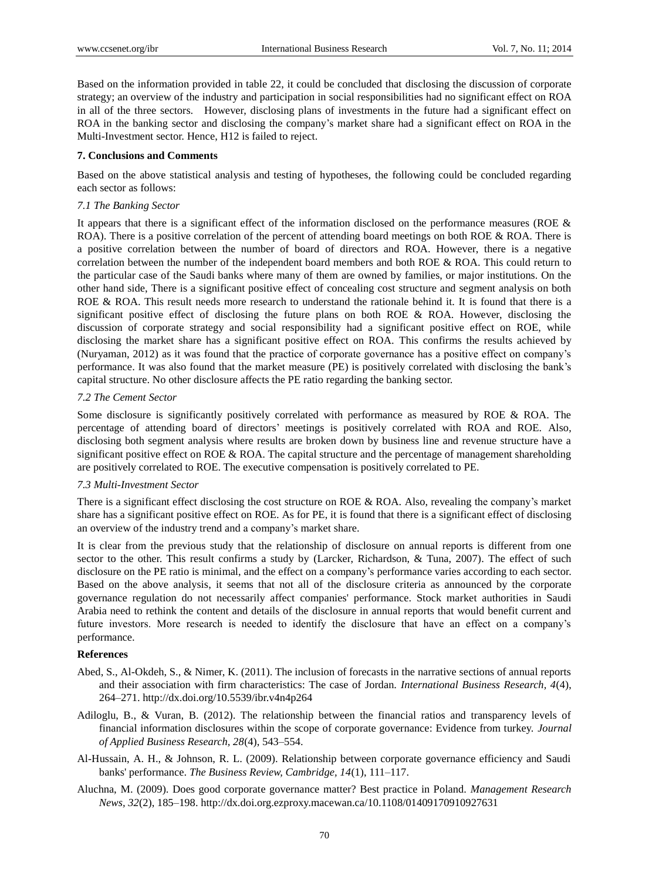Based on the information provided in table 22, it could be concluded that disclosing the discussion of corporate strategy; an overview of the industry and participation in social responsibilities had no significant effect on ROA in all of the three sectors. However, disclosing plans of investments in the future had a significant effect on ROA in the banking sector and disclosing the company's market share had a significant effect on ROA in the Multi-Investment sector. Hence, H12 is failed to reject.

## **7. Conclusions and Comments**

Based on the above statistical analysis and testing of hypotheses, the following could be concluded regarding each sector as follows:

## *7.1 The Banking Sector*

It appears that there is a significant effect of the information disclosed on the performance measures (ROE & ROA). There is a positive correlation of the percent of attending board meetings on both ROE & ROA. There is a positive correlation between the number of board of directors and ROA. However, there is a negative correlation between the number of the independent board members and both ROE & ROA. This could return to the particular case of the Saudi banks where many of them are owned by families, or major institutions. On the other hand side, There is a significant positive effect of concealing cost structure and segment analysis on both ROE & ROA. This result needs more research to understand the rationale behind it. It is found that there is a significant positive effect of disclosing the future plans on both ROE & ROA. However, disclosing the discussion of corporate strategy and social responsibility had a significant positive effect on ROE, while disclosing the market share has a significant positive effect on ROA. This confirms the results achieved by (Nuryaman, 2012) as it was found that the practice of corporate governance has a positive effect on company's performance. It was also found that the market measure (PE) is positively correlated with disclosing the bank's capital structure. No other disclosure affects the PE ratio regarding the banking sector.

## *7.2 The Cement Sector*

Some disclosure is significantly positively correlated with performance as measured by ROE & ROA. The percentage of attending board of directors' meetings is positively correlated with ROA and ROE. Also, disclosing both segment analysis where results are broken down by business line and revenue structure have a significant positive effect on ROE  $\&$  ROA. The capital structure and the percentage of management shareholding are positively correlated to ROE. The executive compensation is positively correlated to PE.

#### *7.3 Multi-Investment Sector*

There is a significant effect disclosing the cost structure on ROE & ROA. Also, revealing the company's market share has a significant positive effect on ROE. As for PE, it is found that there is a significant effect of disclosing an overview of the industry trend and a company's market share.

It is clear from the previous study that the relationship of disclosure on annual reports is different from one sector to the other. This result confirms a study by (Larcker, Richardson, & Tuna, 2007). The effect of such disclosure on the PE ratio is minimal, and the effect on a company's performance varies according to each sector. Based on the above analysis, it seems that not all of the disclosure criteria as announced by the corporate governance regulation do not necessarily affect companies' performance. Stock market authorities in Saudi Arabia need to rethink the content and details of the disclosure in annual reports that would benefit current and future investors. More research is needed to identify the disclosure that have an effect on a company's performance.

#### **References**

- Abed, S., Al-Okdeh, S., & Nimer, K. (2011). The inclusion of forecasts in the narrative sections of annual reports and their association with firm characteristics: The case of Jordan. *International Business Research, 4*(4), 264–271. http://dx.doi.org/10.5539/ibr.v4n4p264
- Adiloglu, B., & Vuran, B. (2012). The relationship between the financial ratios and transparency levels of financial information disclosures within the scope of corporate governance: Evidence from turkey. *Journal of Applied Business Research, 28*(4), 543–554.
- Al-Hussain, A. H., & Johnson, R. L. (2009). Relationship between corporate governance efficiency and Saudi banks' performance. *The Business Review, Cambridge, 14*(1), 111–117.
- Aluchna, M. (2009). Does good corporate governance matter? Best practice in Poland. *Management Research News, 32*(2), 185–198. http://dx.doi.org.ezproxy.macewan.ca/10.1108/01409170910927631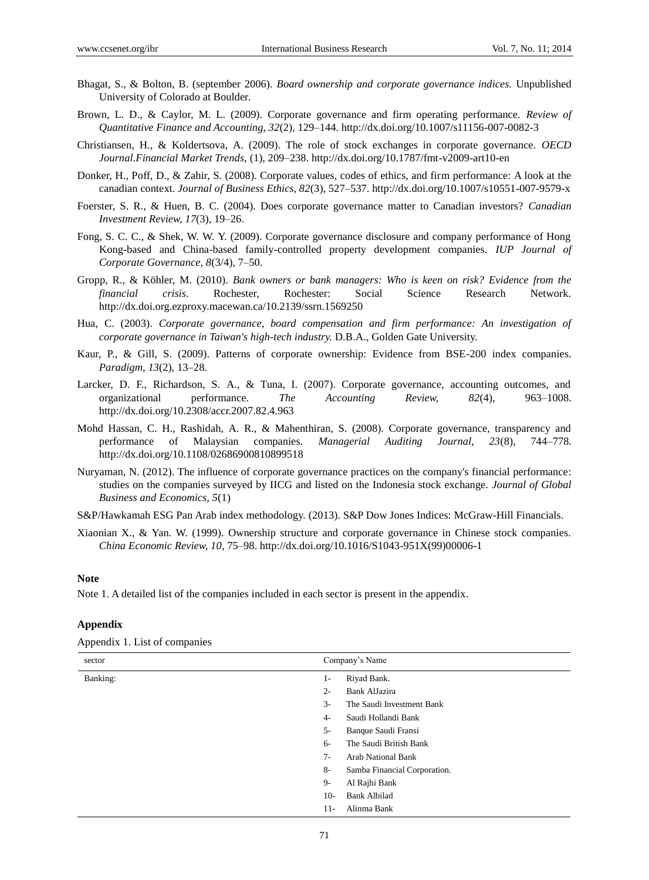- Bhagat, S., & Bolton, B. (september 2006). *Board ownership and corporate governance indices.* Unpublished University of Colorado at Boulder.
- Brown, L. D., & Caylor, M. L. (2009). Corporate governance and firm operating performance. *Review of Quantitative Finance and Accounting, 32*(2), 129–144. http://dx.doi.org/10.1007/s11156-007-0082-3
- Christiansen, H., & Koldertsova, A. (2009). The role of stock exchanges in corporate governance. *OECD Journal.Financial Market Trends,* (1), 209–238. http://dx.doi.org/10.1787/fmt-v2009-art10-en
- Donker, H., Poff, D., & Zahir, S. (2008). Corporate values, codes of ethics, and firm performance: A look at the canadian context. *Journal of Business Ethics, 82*(3), 527–537. http://dx.doi.org/10.1007/s10551-007-9579-x
- Foerster, S. R., & Huen, B. C. (2004). Does corporate governance matter to Canadian investors? *Canadian Investment Review, 17*(3), 19–26.
- Fong, S. C. C., & Shek, W. W. Y. (2009). Corporate governance disclosure and company performance of Hong Kong-based and China-based family-controlled property development companies. *IUP Journal of Corporate Governance, 8*(3/4), 7–50.
- Gropp, R., & Köhler, M. (2010). *Bank owners or bank managers: Who is keen on risk? Evidence from the financial crisis*. Rochester, Rochester: Social Science Research Network. http://dx.doi.org.ezproxy.macewan.ca/10.2139/ssrn.1569250
- Hua, C. (2003). *Corporate governance, board compensation and firm performance: An investigation of corporate governance in Taiwan's high-tech industry.* D.B.A., Golden Gate University.
- Kaur, P., & Gill, S. (2009). Patterns of corporate ownership: Evidence from BSE-200 index companies. *Paradigm, 13*(2), 13–28.
- Larcker, D. F., Richardson, S. A., & Tuna, I. (2007). Corporate governance, accounting outcomes, and organizational performance. *The Accounting Review, 82*(4), 963–1008. http://dx.doi.org/10.2308/accr.2007.82.4.963
- Mohd Hassan, C. H., Rashidah, A. R., & Mahenthiran, S. (2008). Corporate governance, transparency and performance of Malaysian companies. *Managerial Auditing Journal, 23*(8), 744–778. http://dx.doi.org/10.1108/02686900810899518
- Nuryaman, N. (2012). The influence of corporate governance practices on the company's financial performance: studies on the companies surveyed by IICG and listed on the Indonesia stock exchange. *Journal of Global Business and Economics, 5*(1)

S&P/Hawkamah ESG Pan Arab index methodology. (2013). S&P Dow Jones Indices: McGraw-Hill Financials.

Xiaonian X., & Yan. W. (1999). Ownership structure and corporate governance in Chinese stock companies. *China Economic Review, 10*, 75–98. http://dx.doi.org/10.1016/S1043-951X(99)00006-1

#### **Note**

Note 1. A detailed list of the companies included in each sector is present in the appendix.

## **Appendix**

| sector   | Company's Name                       |  |  |
|----------|--------------------------------------|--|--|
| Banking: | Riyad Bank.<br>$1-$                  |  |  |
|          | <b>Bank AlJazira</b><br>$2 -$        |  |  |
|          | $3-$<br>The Saudi Investment Bank    |  |  |
|          | Saudi Hollandi Bank<br>$4-$          |  |  |
|          | $5-$<br>Banque Saudi Fransi          |  |  |
|          | The Saudi British Bank<br>$6-$       |  |  |
|          | $7 -$<br><b>Arab National Bank</b>   |  |  |
|          | $8-$<br>Samba Financial Corporation. |  |  |
|          | $9-$<br>Al Rajhi Bank                |  |  |
|          | <b>Bank Albilad</b><br>$10-$         |  |  |
|          | Alinma Bank<br>$11 -$                |  |  |

Appendix 1. List of companies